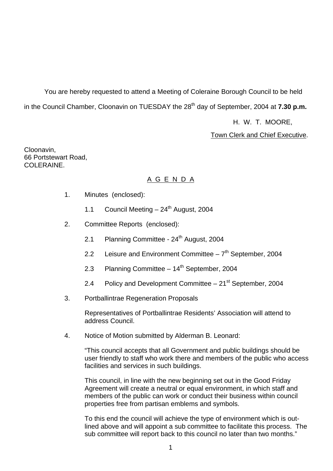You are hereby requested to attend a Meeting of Coleraine Borough Council to be held in the Council Chamber, Cloonavin on TUESDAY the 28<sup>th</sup> day of September, 2004 at **7.30 p.m.** 

H. W. T. MOORE,

Town Clerk and Chief Executive.

Cloonavin, 66 Portstewart Road, COLERAINE

# A G E N D A

- 1. Minutes (enclosed):
	- 1.1 Council Meeting  $-24$ <sup>th</sup> August, 2004
- 2. Committee Reports (enclosed):
	- 2.1 Planning Committee 24<sup>th</sup> August, 2004
	- 2.2 Leisure and Environment Committee  $-7<sup>th</sup>$  September, 2004
	- 2.3 Planning Committee  $-14<sup>th</sup>$  September, 2004
	- 2.4 Policy and Development Committee  $-21^{st}$  September, 2004
- 3. Portballintrae Regeneration Proposals

Representatives of Portballintrae Residents' Association will attend to address Council.

4. Notice of Motion submitted by Alderman B. Leonard:

 "This council accepts that all Government and public buildings should be user friendly to staff who work there and members of the public who access facilities and services in such buildings.

 This council, in line with the new beginning set out in the Good Friday Agreement will create a neutral or equal environment, in which staff and members of the public can work or conduct their business within council properties free from partisan emblems and symbols.

 To this end the council will achieve the type of environment which is out lined above and will appoint a sub committee to facilitate this process. The sub committee will report back to this council no later than two months."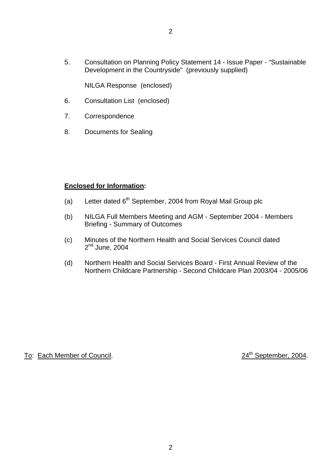5. Consultation on Planning Policy Statement 14 - Issue Paper - "Sustainable Development in the Countryside" (previously supplied)

NILGA Response (enclosed)

- 6. Consultation List (enclosed)
- 7. Correspondence
- 8. Documents for Sealing

#### **Enclosed for Information:**

- (a) Letter dated  $6<sup>th</sup>$  September, 2004 from Royal Mail Group plc
- (b) NILGA Full Members Meeting and AGM September 2004 Members Briefing - Summary of Outcomes
- (c) Minutes of the Northern Health and Social Services Council dated 2<sup>nd</sup> June, 2004
- (d) Northern Health and Social Services Board First Annual Review of the Northern Childcare Partnership - Second Childcare Plan 2003/04 - 2005/06

# To: Each Member of Council. 24<sup>th</sup> September, 2004.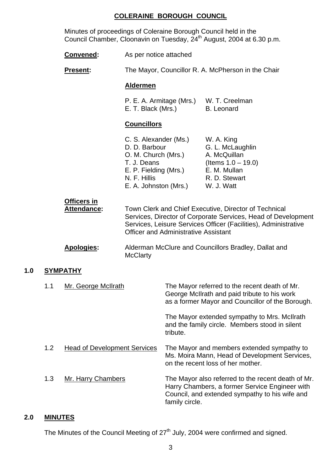#### **COLERAINE BOROUGH COUNCIL**

 Minutes of proceedings of Coleraine Borough Council held in the Council Chamber, Cloonavin on Tuesday, 24<sup>th</sup> August, 2004 at 6.30 p.m.

|                        |     | Convened:                                                                                                                                      | As per notice attached<br>The Mayor, Councillor R. A. McPherson in the Chair                                                                                                                                                             |                                                                                                                        |                                                                                                                                                   |
|------------------------|-----|------------------------------------------------------------------------------------------------------------------------------------------------|------------------------------------------------------------------------------------------------------------------------------------------------------------------------------------------------------------------------------------------|------------------------------------------------------------------------------------------------------------------------|---------------------------------------------------------------------------------------------------------------------------------------------------|
|                        |     | <b>Present:</b>                                                                                                                                |                                                                                                                                                                                                                                          |                                                                                                                        |                                                                                                                                                   |
|                        |     |                                                                                                                                                | <b>Aldermen</b>                                                                                                                                                                                                                          |                                                                                                                        |                                                                                                                                                   |
|                        |     |                                                                                                                                                | P. E. A. Armitage (Mrs.)<br>E. T. Black (Mrs.)<br><b>B.</b> Leonard                                                                                                                                                                      |                                                                                                                        | W. T. Creelman                                                                                                                                    |
|                        |     |                                                                                                                                                | <b>Councillors</b>                                                                                                                                                                                                                       |                                                                                                                        |                                                                                                                                                   |
|                        |     | C. S. Alexander (Ms.)<br>D. D. Barbour<br>O. M. Church (Mrs.)<br>T. J. Deans<br>E. P. Fielding (Mrs.)<br>N. F. Hillis<br>E. A. Johnston (Mrs.) |                                                                                                                                                                                                                                          | W. A. King<br>G. L. McLaughlin<br>A. McQuillan<br>(Items $1.0 - 19.0$ )<br>E. M. Mullan<br>R. D. Stewart<br>W. J. Watt |                                                                                                                                                   |
|                        |     | <b>Officers in</b><br><b>Attendance:</b>                                                                                                       | Town Clerk and Chief Executive, Director of Technical<br>Services, Director of Corporate Services, Head of Development<br>Services, Leisure Services Officer (Facilities), Administrative<br><b>Officer and Administrative Assistant</b> |                                                                                                                        |                                                                                                                                                   |
|                        |     | Apologies:                                                                                                                                     | <b>McClarty</b>                                                                                                                                                                                                                          |                                                                                                                        | Alderman McClure and Councillors Bradley, Dallat and                                                                                              |
| 1.0<br><b>SYMPATHY</b> |     |                                                                                                                                                |                                                                                                                                                                                                                                          |                                                                                                                        |                                                                                                                                                   |
|                        | 1.1 | Mr. George McIlrath                                                                                                                            |                                                                                                                                                                                                                                          |                                                                                                                        | The Mayor referred to the recent death of Mr.<br>George McIlrath and paid tribute to his work<br>as a former Mayor and Councillor of the Borough. |

The Mayor extended sympathy to Mrs. McIlrath and the family circle. Members stood in silent tribute.

 1.2 Head of Development Services The Mayor and members extended sympathy to Ms. Moira Mann, Head of Development Services, on the recent loss of her mother.

1.3 Mr. Harry Chambers The Mayor also referred to the recent death of Mr. Harry Chambers, a former Service Engineer with Council, and extended sympathy to his wife and family circle.

# **2.0 MINUTES**

The Minutes of the Council Meeting of 27<sup>th</sup> July, 2004 were confirmed and signed.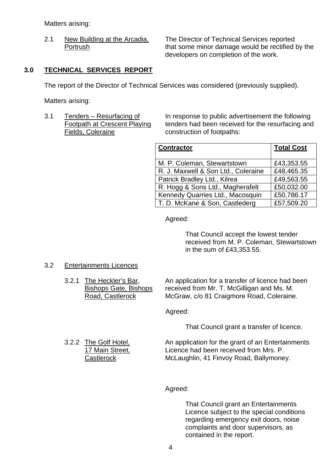Matters arising:

 2.1 New Building at the Arcadia, The Director of Technical Services reported Portrush that some minor damage would be rectified by the developers on completion of the work.

#### **3.0 TECHNICAL SERVICES REPORT**

The report of the Director of Technical Services was considered (previously supplied).

Matters arising:

**Fields, Coleraine** *Coleraine Construction of footpaths:* 

3.1 Tenders – Resurfacing of In response to public advertisement the following Footpath at Crescent Playing tenders had been received for the resurfacing and

| <b>Contractor</b>                   | <b>Total Cost</b> |
|-------------------------------------|-------------------|
| M. P. Coleman, Stewartstown         | £43,353.55        |
| R. J. Maxwell & Son Ltd., Coleraine | £48,465.35        |
| Patrick Bradley Ltd., Kilrea        | £49,563.55        |
| R. Hogg & Sons Ltd., Magherafelt    | £50,032.00        |
| Kennedy Quarries Ltd., Macosquin    | £50,786.17        |
| T. D. McKane & Son, Castlederg      | £57,509.20        |

Agreed:

 That Council accept the lowest tender received from M. P. Coleman, Stewartstown in the sum of £43,353.55.

#### 3.2 Entertainments Licences

3.2.1 The Heckler's Bar, An application for a transfer of licence had been Bishops Gate, Bishops received from Mr. T. McGilligan and Ms. M. Road, Castlerock McGraw, c/o 81 Craigmore Road, Coleraine.

Agreed:

That Council grant a transfer of licence.

3.2.2 The Golf Hotel, An application for the grant of an Entertainments 17 Main Street, Licence had been received from Mrs. P. Castlerock McLaughlin, 41 Finvoy Road, Ballymoney.

Agreed:

That Council grant an Entertainments Licence subject to the special conditions regarding emergency exit doors, noise complaints and door supervisors, as contained in the report.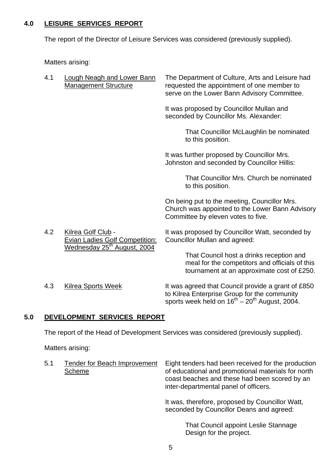# **4.0 LEISURE SERVICES REPORT**

The report of the Director of Leisure Services was considered (previously supplied).

Matters arising:

| 4.1 | <b>Lough Neagh and Lower Bann</b><br><b>Management Structure</b>                                       | The Department of Culture, Arts and Leisure had<br>requested the appointment of one member to<br>serve on the Lower Bann Advisory Committee.                |
|-----|--------------------------------------------------------------------------------------------------------|-------------------------------------------------------------------------------------------------------------------------------------------------------------|
|     |                                                                                                        | It was proposed by Councillor Mullan and<br>seconded by Councillor Ms. Alexander:                                                                           |
|     |                                                                                                        | That Councillor McLaughlin be nominated<br>to this position.                                                                                                |
|     |                                                                                                        | It was further proposed by Councillor Mrs.<br>Johnston and seconded by Councillor Hillis:                                                                   |
|     |                                                                                                        | That Councillor Mrs. Church be nominated<br>to this position.                                                                                               |
|     |                                                                                                        | On being put to the meeting, Councillor Mrs.<br>Church was appointed to the Lower Bann Advisory<br>Committee by eleven votes to five.                       |
| 4.2 | Kilrea Golf Club -<br><b>Evian Ladies Golf Competition:</b><br>Wednesday 25 <sup>th</sup> August, 2004 | It was proposed by Councillor Watt, seconded by<br><b>Councillor Mullan and agreed:</b>                                                                     |
|     |                                                                                                        | That Council host a drinks reception and<br>meal for the competitors and officials of this<br>tournament at an approximate cost of £250.                    |
| 4.3 | <b>Kilrea Sports Week</b>                                                                              | It was agreed that Council provide a grant of £850<br>to Kilrea Enterprise Group for the community<br>sports week held on $16^{th} - 20^{th}$ August, 2004. |

# **5.0 DEVELOPMENT SERVICES REPORT**

The report of the Head of Development Services was considered (previously supplied).

Matters arising:

| 5.1<br><b>Tender for Beach Improvement</b><br>Scheme | Eight tenders had been received for the production<br>of educational and promotional materials for north<br>coast beaches and these had been scored by an<br>inter-departmental panel of officers. |
|------------------------------------------------------|----------------------------------------------------------------------------------------------------------------------------------------------------------------------------------------------------|
|                                                      | It was, therefore, proposed by Councillor Watt,<br>seconded by Councillor Deans and agreed:                                                                                                        |

 That Council appoint Leslie Stannage Design for the project.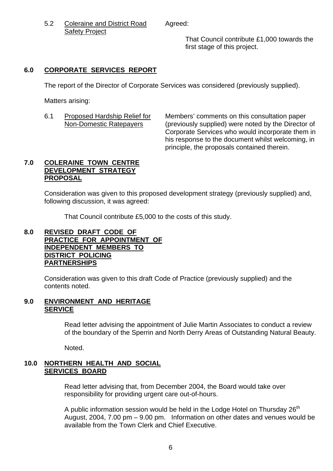5.2 Coleraine and District Road Agreed: Safety Project

 That Council contribute £1,000 towards the first stage of this project.

# **6.0 CORPORATE SERVICES REPORT**

The report of the Director of Corporate Services was considered (previously supplied).

Matters arising:

6.1 Proposed Hardship Relief for Members' comments on this consultation paper Non-Domestic Ratepayers (previously supplied) were noted by the Director of Corporate Services who would incorporate them in his response to the document whilst welcoming, in principle, the proposals contained therein.

# **7.0 COLERAINE TOWN CENTRE DEVELOPMENT STRATEGY PROPOSAL**

Consideration was given to this proposed development strategy (previously supplied) and, following discussion, it was agreed:

That Council contribute £5,000 to the costs of this study.

#### **8.0 REVISED DRAFT CODE OF PRACTICE FOR APPOINTMENT OF INDEPENDENT MEMBERS TO DISTRICT POLICING PARTNERSHIPS**

Consideration was given to this draft Code of Practice (previously supplied) and the contents noted.

# **9.0 ENVIRONMENT AND HERITAGE SERVICE**

 Read letter advising the appointment of Julie Martin Associates to conduct a review of the boundary of the Sperrin and North Derry Areas of Outstanding Natural Beauty.

Noted.

### **10.0 NORTHERN HEALTH AND SOCIAL SERVICES BOARD**

 Read letter advising that, from December 2004, the Board would take over responsibility for providing urgent care out-of-hours.

A public information session would be held in the Lodge Hotel on Thursday  $26<sup>th</sup>$  August, 2004, 7.00 pm – 9.00 pm. Information on other dates and venues would be available from the Town Clerk and Chief Executive.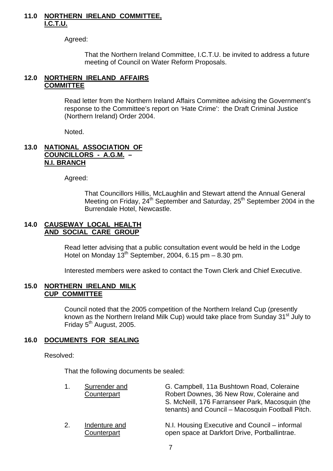#### **11.0 NORTHERN IRELAND COMMITTEE, I.C.T.U.**

Agreed:

 That the Northern Ireland Committee, I.C.T.U. be invited to address a future meeting of Council on Water Reform Proposals.

### **12.0 NORTHERN IRELAND AFFAIRS COMMITTEE**

 Read letter from the Northern Ireland Affairs Committee advising the Government's response to the Committee's report on 'Hate Crime': the Draft Criminal Justice (Northern Ireland) Order 2004.

Noted.

#### **13.0 NATIONAL ASSOCIATION OF COUNCILLORS - A.G.M. – N.I. BRANCH**

Agreed:

That Councillors Hillis, McLaughlin and Stewart attend the Annual General Meeting on Friday,  $24^{th}$  September and Saturday,  $25^{th}$  September 2004 in the Burrendale Hotel, Newcastle.

#### **14.0 CAUSEWAY LOCAL HEALTH AND SOCIAL CARE GROUP**

 Read letter advising that a public consultation event would be held in the Lodge Hotel on Monday  $13^{th}$  September, 2004, 6.15 pm – 8.30 pm.

Interested members were asked to contact the Town Clerk and Chief Executive.

#### **15.0 NORTHERN IRELAND MILK CUP COMMITTEE**

 Council noted that the 2005 competition of the Northern Ireland Cup (presently known as the Northern Ireland Milk Cup) would take place from Sunday 31<sup>st</sup> July to Friday 5<sup>th</sup> August, 2005.

# **16.0 DOCUMENTS FOR SEALING**

Resolved:

That the following documents be sealed:

| 1. | Surrender and<br>Counterpart | G. Campbell, 11a Bushtown Road, Coleraine<br>Robert Downes, 36 New Row, Coleraine and<br>S. McNeill, 176 Farranseer Park, Macosquin (the<br>tenants) and Council - Macosquin Football Pitch. |
|----|------------------------------|----------------------------------------------------------------------------------------------------------------------------------------------------------------------------------------------|
| 2. | Indenture and<br>Counterpart | N.I. Housing Executive and Council – informal<br>open space at Darkfort Drive, Portballintrae.                                                                                               |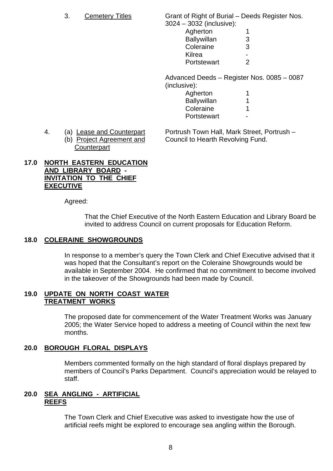3. Cemetery Titles Grant of Right of Burial – Deeds Register Nos.  $3024 - 3032$  (inclusive):

|  | <b>UULT</b> UUUL (IIIUIUJIVU). |                          |
|--|--------------------------------|--------------------------|
|  | Agherton                       |                          |
|  | <b>Ballywillan</b>             | 3                        |
|  | Coleraine                      | 3                        |
|  | Kilrea                         | $\overline{\phantom{0}}$ |
|  | Portstewart                    | $\overline{2}$           |
|  |                                |                          |

 Advanced Deeds – Register Nos. 0085 – 0087 (inclusive):

| Agherton           |                          |
|--------------------|--------------------------|
| <b>Ballywillan</b> |                          |
| Coleraine          |                          |
| Portstewart        | $\overline{\phantom{0}}$ |

- - **Counterpart**

4. (a) Lease and Counterpart Portrush Town Hall, Mark Street, Portrush -(b) Project Agreement and Council to Hearth Revolving Fund.

# **17.0 NORTH EASTERN EDUCATION AND LIBRARY BOARD - INVITATION TO THE CHIEF EXECUTIVE**

Agreed:

 That the Chief Executive of the North Eastern Education and Library Board be invited to address Council on current proposals for Education Reform.

# **18.0 COLERAINE SHOWGROUNDS**

In response to a member's query the Town Clerk and Chief Executive advised that it was hoped that the Consultant's report on the Coleraine Showgrounds would be available in September 2004. He confirmed that no commitment to become involved in the takeover of the Showgrounds had been made by Council.

# **19.0 UPDATE ON NORTH COAST WATER TREATMENT WORKS**

 The proposed date for commencement of the Water Treatment Works was January 2005; the Water Service hoped to address a meeting of Council within the next few months.

# **20.0 BOROUGH FLORAL DISPLAYS**

Members commented formally on the high standard of floral displays prepared by members of Council's Parks Department. Council's appreciation would be relayed to staff.

### **20.0 SEA ANGLING - ARTIFICIAL REEFS**

 The Town Clerk and Chief Executive was asked to investigate how the use of artificial reefs might be explored to encourage sea angling within the Borough.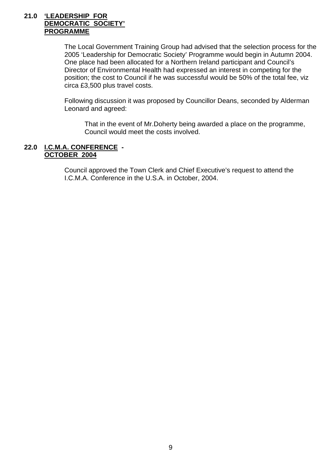#### **21.0 'LEADERSHIP FOR DEMOCRATIC SOCIETY' PROGRAMME**

The Local Government Training Group had advised that the selection process for the 2005 'Leadership for Democratic Society' Programme would begin in Autumn 2004. One place had been allocated for a Northern Ireland participant and Council's Director of Environmental Health had expressed an interest in competing for the position; the cost to Council if he was successful would be 50% of the total fee, viz circa £3,500 plus travel costs.

Following discussion it was proposed by Councillor Deans, seconded by Alderman Leonard and agreed:

 That in the event of Mr.Doherty being awarded a place on the programme, Council would meet the costs involved.

#### **22.0 I.C.M.A. CONFERENCE - OCTOBER 2004**

Council approved the Town Clerk and Chief Executive's request to attend the I.C.M.A. Conference in the U.S.A. in October, 2004.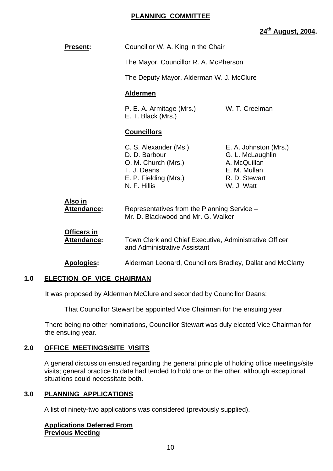## **PLANNING COMMITTEE**

# **24th August, 2004.**

| <b>Present:</b> |                                          | Councillor W. A. King in the Chair                                                                                    |                                                                                                          |
|-----------------|------------------------------------------|-----------------------------------------------------------------------------------------------------------------------|----------------------------------------------------------------------------------------------------------|
|                 |                                          | The Mayor, Councillor R. A. McPherson                                                                                 |                                                                                                          |
|                 |                                          | The Deputy Mayor, Alderman W. J. McClure                                                                              |                                                                                                          |
|                 |                                          | <b>Aldermen</b>                                                                                                       |                                                                                                          |
|                 |                                          | P. E. A. Armitage (Mrs.)<br>E. T. Black (Mrs.)                                                                        | W. T. Creelman                                                                                           |
|                 |                                          | <b>Councillors</b>                                                                                                    |                                                                                                          |
|                 |                                          | C. S. Alexander (Ms.)<br>D. D. Barbour<br>O. M. Church (Mrs.)<br>T. J. Deans<br>E. P. Fielding (Mrs.)<br>N. F. Hillis | E. A. Johnston (Mrs.)<br>G. L. McLaughlin<br>A. McQuillan<br>E. M. Mullan<br>R. D. Stewart<br>W. J. Watt |
| Also in         | <b>Attendance:</b>                       | Representatives from the Planning Service -<br>Mr. D. Blackwood and Mr. G. Walker                                     |                                                                                                          |
|                 | <b>Officers in</b><br><b>Attendance:</b> | Town Clerk and Chief Executive, Administrative Officer<br>and Administrative Assistant                                |                                                                                                          |
|                 | Apologies:                               | Alderman Leonard, Councillors Bradley, Dallat and McClarty                                                            |                                                                                                          |
|                 |                                          |                                                                                                                       |                                                                                                          |

# **1.0 ELECTION OF VICE CHAIRMAN**

It was proposed by Alderman McClure and seconded by Councillor Deans:

That Councillor Stewart be appointed Vice Chairman for the ensuing year.

There being no other nominations, Councillor Stewart was duly elected Vice Chairman for the ensuing year.

# **2.0 OFFICE MEETINGS/SITE VISITS**

 A general discussion ensued regarding the general principle of holding office meetings/site visits; general practice to date had tended to hold one or the other, although exceptional situations could necessitate both.

#### **3.0 PLANNING APPLICATIONS**

A list of ninety-two applications was considered (previously supplied).

#### **Applications Deferred From Previous Meeting**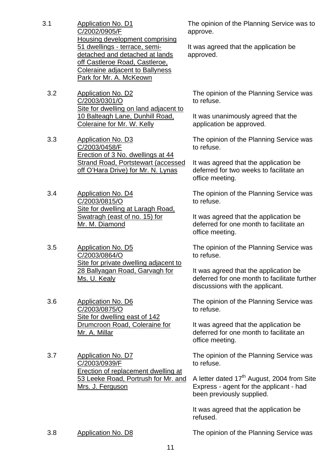- 3.1 Application No. D1 C/2002/0905/F Housing development comprising 51 dwellings - terrace, semidetached and detached at lands off Castleroe Road, Castleroe, Coleraine adjacent to Ballyness Park for Mr. A. McKeown
	- 3.2 Application No. D2 C/2003/0301/O Site for dwelling on land adjacent to 10 Balteagh Lane, Dunhill Road, Coleraine for Mr. W. Kelly
	- 3.3 Application No. D3 C/2003/0458/F Erection of 3 No. dwellings at 44 Strand Road, Portstewart (accessed off O'Hara Drive) for Mr. N. Lynas
	- 3.4 Application No. D4 C/2003/0815/O Site for dwelling at Laragh Road, Swatragh (east of no. 15) for Mr. M. Diamond
	- 3.5 Application No. D5 C/2003/0864/O Site for private dwelling adjacent to 28 Ballyagan Road, Garvagh for Ms. U. Kealy
	- 3.6 Application No. D6 C/2003/0875/O Site for dwelling east of 142 Drumcroon Road, Coleraine for Mr. A. Millar
	- 3.7 Application No. D7 C/2003/0939/F Erection of replacement dwelling at 53 Leeke Road, Portrush for Mr. and Mrs. J. Ferguson

The opinion of the Planning Service was to approve.

It was agreed that the application be approved.

The opinion of the Planning Service was to refuse.

It was unanimously agreed that the application be approved.

The opinion of the Planning Service was to refuse.

It was agreed that the application be deferred for two weeks to facilitate an office meeting.

The opinion of the Planning Service was to refuse.

It was agreed that the application be deferred for one month to facilitate an office meeting.

The opinion of the Planning Service was to refuse.

It was agreed that the application be deferred for one month to facilitate further discussions with the applicant.

The opinion of the Planning Service was to refuse.

It was agreed that the application be deferred for one month to facilitate an office meeting.

The opinion of the Planning Service was to refuse.

A letter dated  $17<sup>th</sup>$  August, 2004 from Site Express - agent for the applicant - had been previously supplied.

It was agreed that the application be refused.

3.8 Application No. D8 The opinion of the Planning Service was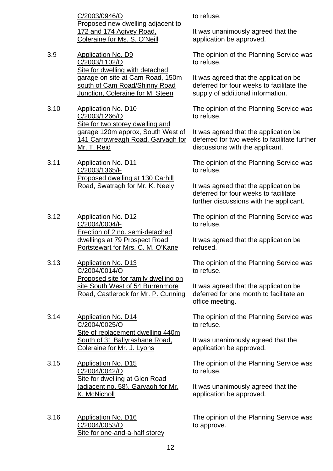C/2003/0946/O Proposed new dwelling adjacent to 172 and 174 Agivey Road, Coleraine for Ms. S. O'Neill

- 3.9 Application No. D9 C/2003/1102/O Site for dwelling with detached garage on site at Cam Road, 150m south of Cam Road/Shinny Road Junction, Coleraine for M. Steen
- 3.10 Application No. D10 C/2003/1266/O Site for two storey dwelling and garage 120m approx, South West of 141 Carrowreagh Road, Garvagh for Mr. T. Reid

3.11 Application No. D11 C/2003/1365/F Proposed dwelling at 130 Carhill Road, Swatragh for Mr. K. Neely

- 3.12 Application No. D12 C/2004/0004/F Erection of 2 no. semi-detached dwellings at 79 Prospect Road, Portstewart for Mrs. C. M. O'Kane
- 3.13 Application No. D13 C/2004/0014/O Proposed site for family dwelling on site South West of 54 Burrenmore Road, Castlerock for Mr. P. Cunning
- 3.14 Application No. D14 C/2004/0025/O Site of replacement dwelling 440m South of 31 Ballyrashane Road, Coleraine for Mr. J. Lyons
- 3.15 Application No. D15 C/2004/0042/O Site for dwelling at Glen Road (adjacent no. 58), Garvagh for Mr. K. McNicholl
- 3.16 Application No. D16 C/2004/0053/O Site for one-and-a-half storey

to refuse.

It was unanimously agreed that the application be approved.

The opinion of the Planning Service was to refuse.

It was agreed that the application be deferred for four weeks to facilitate the supply of additional information.

The opinion of the Planning Service was to refuse.

It was agreed that the application be deferred for two weeks to facilitate further discussions with the applicant.

The opinion of the Planning Service was to refuse.

It was agreed that the application be deferred for four weeks to facilitate further discussions with the applicant.

The opinion of the Planning Service was to refuse.

It was agreed that the application be refused.

The opinion of the Planning Service was to refuse.

It was agreed that the application be deferred for one month to facilitate an office meeting.

The opinion of the Planning Service was to refuse.

It was unanimously agreed that the application be approved.

The opinion of the Planning Service was to refuse.

It was unanimously agreed that the application be approved.

The opinion of the Planning Service was to approve.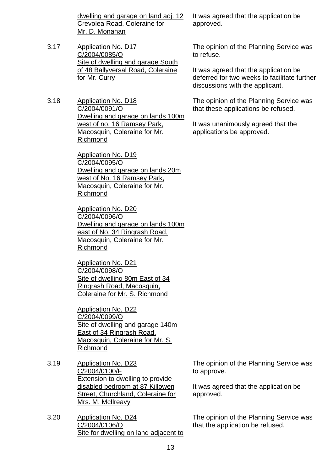dwelling and garage on land adj. 12 Crevolea Road, Coleraine for Mr. D. Monahan

- 3.17 Application No. D17 C/2004/0085/O Site of dwelling and garage South of 48 Ballyversal Road, Coleraine for Mr. Curry
- 3.18 Application No. D18 C/2004/0091/O Dwelling and garage on lands 100m west of no. 16 Ramsey Park, Macosquin, Coleraine for Mr. Richmond

 Application No. D19 C/2004/0095/O Dwelling and garage on lands 20m west of No. 16 Ramsey Park, Macosquin, Coleraine for Mr. Richmond

 Application No. D20 C/2004/0096/O Dwelling and garage on lands 100m east of No. 34 Ringrash Road, Macosquin, Coleraine for Mr. Richmond

 Application No. D21 C/2004/0098/O Site of dwelling 80m East of 34 Ringrash Road, Macosquin, Coleraine for Mr. S. Richmond

 Application No. D22 C/2004/0099/O Site of dwelling and garage 140m East of 34 Ringrash Road, Macosquin, Coleraine for Mr. S. Richmond

- 3.19 Application No. D23 C/2004/0100/F Extension to dwelling to provide disabled bedroom at 87 Killowen Street, Churchland, Coleraine for Mrs. M. McIlreavy
- 3.20 Application No. D24 C/2004/0106/O Site for dwelling on land adjacent to

It was agreed that the application be approved.

The opinion of the Planning Service was to refuse.

It was agreed that the application be deferred for two weeks to facilitate further discussions with the applicant.

The opinion of the Planning Service was that these applications be refused.

It was unanimously agreed that the applications be approved.

The opinion of the Planning Service was to approve.

It was agreed that the application be approved.

The opinion of the Planning Service was that the application be refused.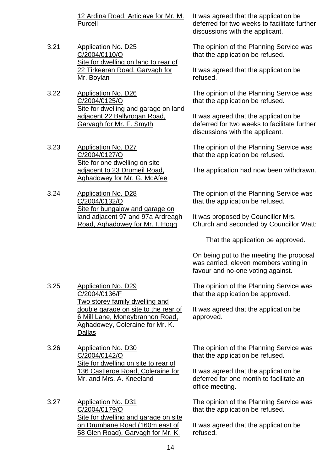12 Ardina Road, Articlave for Mr. M. Purcell

- 3.21 Application No. D25 C/2004/0110/O Site for dwelling on land to rear of 22 Tirkeeran Road, Garvagh for Mr. Boylan
- 3.22 Application No. D26 C/2004/0125/O Site for dwelling and garage on land adjacent 22 Ballyrogan Road. Garvagh for Mr. F. Smyth
- 3.23 Application No. D27 C/2004/0127/O Site for one dwelling on site adjacent to 23 Drumeil Road, Aghadowey for Mr. G. McAfee
- 3.24 Application No. D28 C/2004/0132/O Site for bungalow and garage on land adjacent 97 and 97a Ardreagh Road, Aghadowey for Mr. I. Hogg

It was agreed that the application be deferred for two weeks to facilitate further discussions with the applicant.

The opinion of the Planning Service was that the application be refused.

It was agreed that the application be refused.

The opinion of the Planning Service was that the application be refused.

It was agreed that the application be deferred for two weeks to facilitate further discussions with the applicant.

The opinion of the Planning Service was that the application be refused.

The application had now been withdrawn.

The opinion of the Planning Service was that the application be refused.

It was proposed by Councillor Mrs. Church and seconded by Councillor Watt:

That the application be approved.

On being put to the meeting the proposal was carried, eleven members voting in favour and no-one voting against.

The opinion of the Planning Service was that the application be approved.

It was agreed that the application be approved.

The opinion of the Planning Service was that the application be refused.

It was agreed that the application be deferred for one month to facilitate an office meeting.

The opinion of the Planning Service was that the application be refused.

It was agreed that the application be refused.

- 3.25 Application No. D29 C/2004/0136/F Two storey family dwelling and double garage on site to the rear of 6 Mill Lane, Moneybrannon Road, Aghadowey, Coleraine for Mr. K. Dallas
- 3.26 Application No. D30 C/2004/0142/O Site for dwelling on site to rear of 136 Castleroe Road, Coleraine for Mr. and Mrs. A. Kneeland

3.27 Application No. D31 C/2004/0179/O Site for dwelling and garage on site on Drumbane Road (160m east of 58 Glen Road), Garvagh for Mr. K.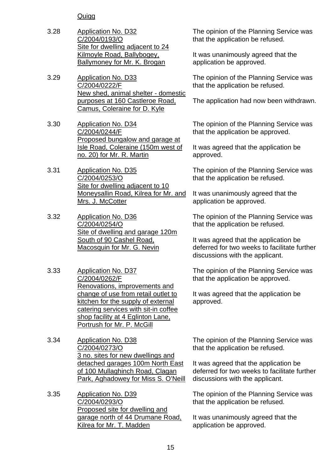# **Quigg**

- 3.28 Application No. D32 C/2004/0193/O Site for dwelling adjacent to 24 Kilmoyle Road, Ballybogey, Ballymoney for Mr. K. Brogan
- 3.29 Application No. D33 C/2004/0222/F New shed, animal shelter - domestic purposes at 160 Castleroe Road, Camus, Coleraine for D. Kyle
- 3.30 Application No. D34 C/2004/0244/F Proposed bungalow and garage at Isle Road, Coleraine (150m west of no. 20) for Mr. R. Martin
- 3.31 Application No. D35 C/2004/0253/O Site for dwelling adjacent to 10 Moneysallin Road, Kilrea for Mr. and Mrs. J. McCotter
- 3.32 Application No. D36 C/2004/0254/O Site of dwelling and garage 120m South of 90 Cashel Road, Macosquin for Mr. G. Nevin
- 3.33 Application No. D37 C/2004/0262/F Renovations, improvements and change of use from retail outlet to kitchen for the supply of external catering services with sit-in coffee shop facility at 4 Eglinton Lane, Portrush for Mr. P. McGill
- 3.34 Application No. D38 C/2004/0273/O 3 no. sites for new dwellings and detached garages 100m North East of 100 Mullaghinch Road, Clagan Park, Aghadowey for Miss S. O'Neill

3.35 Application No. D39 C/2004/0293/O Proposed site for dwelling and garage north of 44 Drumane Road, Kilrea for Mr. T. Madden

The opinion of the Planning Service was that the application be refused.

It was unanimously agreed that the application be approved.

The opinion of the Planning Service was that the application be refused.

The application had now been withdrawn.

The opinion of the Planning Service was that the application be approved.

It was agreed that the application be approved.

The opinion of the Planning Service was that the application be refused.

It was unanimously agreed that the application be approved.

The opinion of the Planning Service was that the application be refused.

It was agreed that the application be deferred for two weeks to facilitate further discussions with the applicant.

The opinion of the Planning Service was that the application be approved.

It was agreed that the application be approved.

The opinion of the Planning Service was that the application be refused.

It was agreed that the application be deferred for two weeks to facilitate further discussions with the applicant.

The opinion of the Planning Service was that the application be refused.

It was unanimously agreed that the application be approved.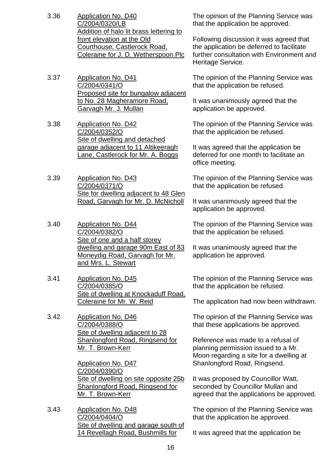- 3.36 Application No. D40 C/2004/0320/LB Addition of halo lit brass lettering to front elevation at the Old Courthouse, Castlerock Road, Coleraine for J. D. Wetherspoon Plc
- 3.37 Application No. D41 C/2004/0341/O Proposed site for bungalow adjacent to No. 28 Magheramore Road, Garvagh Mr. J. Mullan
- 3.38 Application No. D42 C/2004/0352/O Site of dwelling and detached garage adjacent to 11 Altikeeragh Lane, Castlerock for Mr. A. Boggs
- 3.39 Application No. D43 C/2004/0371/O Site for dwelling adjacent to 48 Glen Road, Garvagh for Mr. D. McNicholl
- 3.40 Application No. D44 C/2004/0382/O Site of one and a half storey dwelling and garage 90m East of 83 Moneydig Road, Garvagh for Mr. and Mrs. L. Stewart
- 3.41 Application No. D45 C/2004/0385/O Site of dwelling at Knockaduff Road, Coleraine for Mr. W. Reid
- 3.42 Application No. D46 C/2004/0388/O Site of dwelling adjacent to 28 Shanlongford Road, Ringsend for Mr. T. Brown-Kerr

Application No. D47 C/2004/0390/O Site of dwelling on site opposite 25b Shanlongford Road, Ringsend for Mr. T. Brown-Kerr

3.43 Application No. D48 C/2004/0404/O Site of dwelling and garage south of 14 Revellagh Road, Bushmills for

The opinion of the Planning Service was that the application be approved.

Following discussion it was agreed that the application be deferred to facilitate further consultation with Environment and Heritage Service.

The opinion of the Planning Service was that the application be refused.

It was unanimously agreed that the application be approved.

The opinion of the Planning Service was that the application be refused.

It was agreed that the application be deferred for one month to facilitate an office meeting.

The opinion of the Planning Service was that the application be refused.

It was unanimously agreed that the application be approved.

The opinion of the Planning Service was that the application be refused.

It was unanimously agreed that the application be approved.

The opinion of the Planning Service was that the application be refused.

The application had now been withdrawn.

The opinion of the Planning Service was that these applications be approved.

Reference was made to a refusal of planning permission issued to a Mr. Moon regarding a site for a dwelling at Shanlongford Road, Ringsend.

It was proposed by Councillor Watt, seconded by Councillor Mullan and agreed that the applications be approved.

The opinion of the Planning Service was that the application be approved.

It was agreed that the application be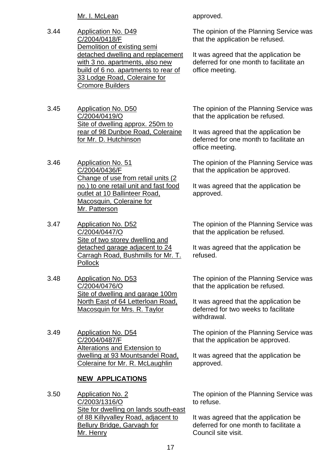Mr. I. McLean

- 3.44 Application No. D49 C/2004/0418/F Demolition of existing semi detached dwelling and replacement with 3 no. apartments, also new build of 6 no. apartments to rear of 33 Lodge Road, Coleraine for Cromore Builders
- 3.45 Application No. D50 C/2004/0419/O Site of dwelling approx. 250m to rear of 98 Dunboe Road, Coleraine for Mr. D. Hutchinson
- 3.46 Application No. 51 C/2004/0436/F Change of use from retail units (2 no.) to one retail unit and fast food outlet at 10 Ballinteer Road, Macosquin, Coleraine for Mr. Patterson
- 3.47 Application No. D52 C/2004/0447/O Site of two storey dwelling and detached garage adjacent to 24 Carragh Road, Bushmills for Mr. T. Pollock
- 3.48 Application No. D53 C/2004/0476/O Site of dwelling and garage 100m North East of 64 Letterloan Road, Macosquin for Mrs. R. Taylor
- 3.49 Application No. D54 C/2004/0487/F Alterations and Extension to dwelling at 93 Mountsandel Road, Coleraine for Mr. R. McLaughlin

# **NEW APPLICATIONS**

3.50 Application No. 2 C/2003/1316/O Site for dwelling on lands south-east of 88 Killyvalley Road, adjacent to Bellury Bridge, Garvagh for Mr. Henry

approved.

The opinion of the Planning Service was that the application be refused.

It was agreed that the application be deferred for one month to facilitate an office meeting.

The opinion of the Planning Service was that the application be refused.

It was agreed that the application be deferred for one month to facilitate an office meeting.

The opinion of the Planning Service was that the application be approved.

It was agreed that the application be approved.

The opinion of the Planning Service was that the application be refused.

It was agreed that the application be refused.

The opinion of the Planning Service was that the application be refused.

It was agreed that the application be deferred for two weeks to facilitate withdrawal.

The opinion of the Planning Service was that the application be approved.

It was agreed that the application be approved.

The opinion of the Planning Service was to refuse.

It was agreed that the application be deferred for one month to facilitate a Council site visit.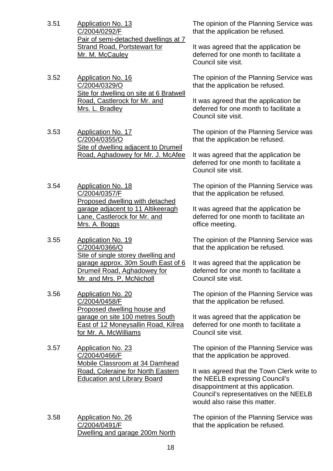- 3.51 Application No. 13 C/2004/0292/F Pair of semi-detached dwellings at 7 Strand Road, Portstewart for Mr. M. McCauley
- 3.52 Application No. 16 C/2004/0329/O Site for dwelling on site at 6 Bratwell Road, Castlerock for Mr. and Mrs. L. Bradley
- 3.53 Application No. 17 C/2004/0355/O Site of dwelling adjacent to Drumeil Road, Aghadowey for Mr. J. McAfee
- 3.54 Application No. 18 C/2004/0357/F Proposed dwelling with detached garage adjacent to 11 Altikeeragh Lane, Castlerock for Mr. and Mrs. A. Boggs
- 3.55 Application No. 19 C/2004/0366/O Site of single storey dwelling and garage approx. 30m South East of 6 Drumeil Road, Aghadowey for Mr. and Mrs. P. McNicholl
- 3.56 Application No. 20 C/2004/0458/F Proposed dwelling house and garage on site 100 metres South East of 12 Moneysallin Road, Kilrea for Mr. A. McWilliams
- 3.57 Application No. 23 C/2004/0466/F Mobile Classroom at 34 Damhead Road, Coleraine for North Eastern Education and Library Board
- 3.58 Application No. 26 C/2004/0491/F Dwelling and garage 200m North

The opinion of the Planning Service was that the application be refused.

It was agreed that the application be deferred for one month to facilitate a Council site visit.

The opinion of the Planning Service was that the application be refused.

It was agreed that the application be deferred for one month to facilitate a Council site visit.

The opinion of the Planning Service was that the application be refused.

It was agreed that the application be deferred for one month to facilitate a Council site visit.

The opinion of the Planning Service was that the application be refused.

It was agreed that the application be deferred for one month to facilitate an office meeting.

The opinion of the Planning Service was that the application be refused.

It was agreed that the application be deferred for one month to facilitate a Council site visit.

The opinion of the Planning Service was that the application be refused.

It was agreed that the application be deferred for one month to facilitate a Council site visit.

The opinion of the Planning Service was that the application be approved.

It was agreed that the Town Clerk write to the NEELB expressing Council's disappointment at this application. Council's representatives on the NEELB would also raise this matter.

The opinion of the Planning Service was that the application be refused.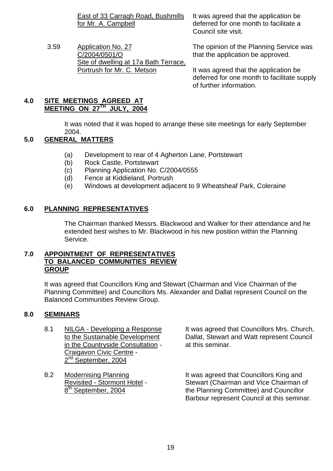East of 33 Carragh Road, Bushmills for Mr. A. Campbell

3.59 Application No. 27 C/2004/0501/O Site of dwelling at 17a Bath Terrace, Portrush for Mr. C. Metson

It was agreed that the application be deferred for one month to facilitate a Council site visit.

The opinion of the Planning Service was that the application be approved.

It was agreed that the application be deferred for one month to facilitate supply of further information.

# **4.0 SITE MEETINGS AGREED AT MEETING ON 27TH JULY, 2004**

 It was noted that it was hoped to arrange these site meetings for early September 2004.

# **5.0 GENERAL MATTERS**

- (a) Development to rear of 4 Agherton Lane, Portstewart
- (b) Rock Castle, Portstewart
- (c) Planning Application No. C/2004/0555
- (d) Fence at Kiddieland, Portrush
- (e) Windows at development adjacent to 9 Wheatsheaf Park, Coleraine

# **6.0 PLANNING REPRESENTATIVES**

 The Chairman thanked Messrs. Blackwood and Walker for their attendance and he extended best wishes to Mr. Blackwood in his new position within the Planning Service.

#### **7.0 APPOINTMENT OF REPRESENTATIVES TO BALANCED COMMUNITIES REVIEW GROUP**

 It was agreed that Councillors King and Stewart (Chairman and Vice Chairman of the Planning Committee) and Councillors Ms. Alexander and Dallat represent Council on the Balanced Communities Review Group.

# **8.0 SEMINARS**

- in the Countryside Consultation at this seminar. Craigavon Civic Centre - 2<sup>nd</sup> September, 2004
- 

8.1 NILGA - Developing a Response It was agreed that Councillors Mrs. Church, to the Sustainable Development Dallat, Stewart and Watt represent Council

8.2 Modernising Planning **It was agreed that Councillors King and**  Revisited - Stormont Hotel - Stewart (Chairman and Vice Chairman of  $8<sup>th</sup>$  September, 2004 the Planning Committee) and Councillor Barbour represent Council at this seminar.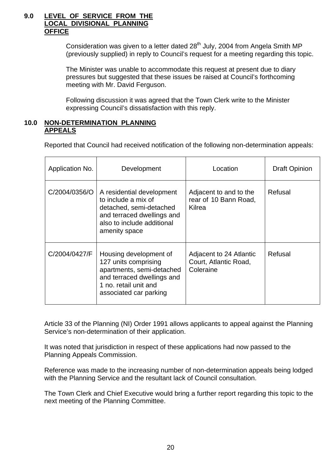#### **9.0 LEVEL OF SERVICE FROM THE LOCAL DIVISIONAL PLANNING OFFICE**

Consideration was given to a letter dated  $28<sup>th</sup>$  July, 2004 from Angela Smith MP (previously supplied) in reply to Council's request for a meeting regarding this topic.

The Minister was unable to accommodate this request at present due to diary pressures but suggested that these issues be raised at Council's forthcoming meeting with Mr. David Ferguson.

Following discussion it was agreed that the Town Clerk write to the Minister expressing Council's dissatisfaction with this reply.

### **10.0 NON-DETERMINATION PLANNING APPEALS**

Reported that Council had received notification of the following non-determination appeals:

| Application No. | Development                                                                                                                                                  | Location                                                      | <b>Draft Opinion</b> |
|-----------------|--------------------------------------------------------------------------------------------------------------------------------------------------------------|---------------------------------------------------------------|----------------------|
| C/2004/0356/O   | A residential development<br>to include a mix of<br>detached, semi-detached<br>and terraced dwellings and<br>also to include additional<br>amenity space     | Adjacent to and to the<br>rear of 10 Bann Road,<br>Kilrea     | Refusal              |
| C/2004/0427/F   | Housing development of<br>127 units comprising<br>apartments, semi-detached<br>and terraced dwellings and<br>1 no. retail unit and<br>associated car parking | Adjacent to 24 Atlantic<br>Court, Atlantic Road,<br>Coleraine | Refusal              |

Article 33 of the Planning (NI) Order 1991 allows applicants to appeal against the Planning Service's non-determination of their application.

 It was noted that jurisdiction in respect of these applications had now passed to the Planning Appeals Commission.

Reference was made to the increasing number of non-determination appeals being lodged with the Planning Service and the resultant lack of Council consultation.

The Town Clerk and Chief Executive would bring a further report regarding this topic to the next meeting of the Planning Committee.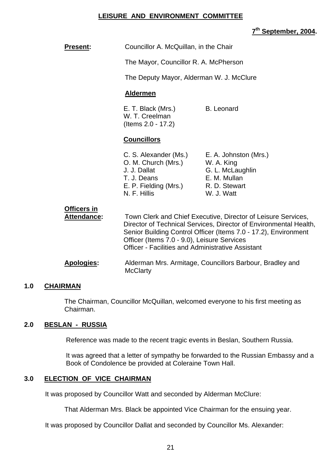#### **LEISURE AND ENVIRONMENT COMMITTEE**

## **7th September, 2004.**

| <b>Present:</b>                   | Councillor A. McQuillan, in the Chair                                                                                                                                                                                                                                                                            |                                                                                                        |
|-----------------------------------|------------------------------------------------------------------------------------------------------------------------------------------------------------------------------------------------------------------------------------------------------------------------------------------------------------------|--------------------------------------------------------------------------------------------------------|
|                                   | The Mayor, Councillor R. A. McPherson                                                                                                                                                                                                                                                                            |                                                                                                        |
|                                   | The Deputy Mayor, Alderman W. J. McClure                                                                                                                                                                                                                                                                         |                                                                                                        |
|                                   | <b>Aldermen</b>                                                                                                                                                                                                                                                                                                  |                                                                                                        |
|                                   | E. T. Black (Mrs.)<br><b>B.</b> Leonard<br>W. T. Creelman<br>(Items 2.0 - 17.2)                                                                                                                                                                                                                                  |                                                                                                        |
|                                   | <b>Councillors</b>                                                                                                                                                                                                                                                                                               |                                                                                                        |
|                                   | C. S. Alexander (Ms.)<br>O. M. Church (Mrs.)<br>J. J. Dallat<br>T. J. Deans<br>E. P. Fielding (Mrs.)<br>N. F. Hillis                                                                                                                                                                                             | E. A. Johnston (Mrs.)<br>W. A. King<br>G. L. McLaughlin<br>E. M. Mullan<br>R. D. Stewart<br>W. J. Watt |
| Officers in<br><b>Attendance:</b> | Town Clerk and Chief Executive, Director of Leisure Services,<br>Director of Technical Services, Director of Environmental Health,<br>Senior Building Control Officer (Items 7.0 - 17.2), Environment<br>Officer (Items 7.0 - 9.0), Leisure Services<br><b>Officer - Facilities and Administrative Assistant</b> |                                                                                                        |
| <b>Apologies:</b>                 | Alderman Mrs. Armitage, Councillors Barbour, Bradley and<br><b>McClarty</b>                                                                                                                                                                                                                                      |                                                                                                        |
|                                   |                                                                                                                                                                                                                                                                                                                  |                                                                                                        |

#### **1.0 CHAIRMAN**

 The Chairman, Councillor McQuillan, welcomed everyone to his first meeting as Chairman.

#### **2.0 BESLAN - RUSSIA**

Reference was made to the recent tragic events in Beslan, Southern Russia.

It was agreed that a letter of sympathy be forwarded to the Russian Embassy and a Book of Condolence be provided at Coleraine Town Hall.

#### **3.0 ELECTION OF VICE CHAIRMAN**

It was proposed by Councillor Watt and seconded by Alderman McClure:

That Alderman Mrs. Black be appointed Vice Chairman for the ensuing year.

It was proposed by Councillor Dallat and seconded by Councillor Ms. Alexander: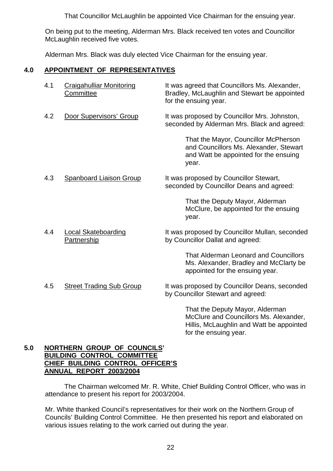That Councillor McLaughlin be appointed Vice Chairman for the ensuing year.

On being put to the meeting, Alderman Mrs. Black received ten votes and Councillor McLaughlin received five votes.

Alderman Mrs. Black was duly elected Vice Chairman for the ensuing year.

# **4.0 APPOINTMENT OF REPRESENTATIVES**

| 4.1 | <b>Craigahulliar Monitoring</b><br>Committee | It was agreed that Councillors Ms. Alexander,<br>Bradley, McLaughlin and Stewart be appointed<br>for the ensuing year.           |
|-----|----------------------------------------------|----------------------------------------------------------------------------------------------------------------------------------|
| 4.2 | Door Supervisors' Group                      | It was proposed by Councillor Mrs. Johnston,<br>seconded by Alderman Mrs. Black and agreed:                                      |
|     |                                              | That the Mayor, Councillor McPherson<br>and Councillors Ms. Alexander, Stewart<br>and Watt be appointed for the ensuing<br>year. |
| 4.3 | <b>Spanboard Liaison Group</b>               | It was proposed by Councillor Stewart,<br>seconded by Councillor Deans and agreed:                                               |
|     |                                              | That the Deputy Mayor, Alderman<br>McClure, be appointed for the ensuing<br>year.                                                |
| 4.4 | <b>Local Skateboarding</b><br>Partnership    | It was proposed by Councillor Mullan, seconded<br>by Councillor Dallat and agreed:                                               |
|     |                                              | <b>That Alderman Leonard and Councillors</b><br>Ms. Alexander, Bradley and McClarty be<br>appointed for the ensuing year.        |
| 4.5 | <b>Street Trading Sub Group</b>              | It was proposed by Councillor Deans, seconded<br>by Councillor Stewart and agreed:                                               |
|     |                                              | That the Deputy Mayor, Alderman<br>$M_{\odot}$ Clima and $\Omega$ ainaillean Ma $\Lambda$ lainan den                             |

McClure and Councillors Ms. Alexander, Hillis, McLaughlin and Watt be appointed for the ensuing year.

#### **5.0 NORTHERN GROUP OF COUNCILS' BUILDING CONTROL COMMITTEE CHIEF BUILDING CONTROL OFFICER'S ANNUAL REPORT 2003/2004**

 The Chairman welcomed Mr. R. White, Chief Building Control Officer, who was in attendance to present his report for 2003/2004.

 Mr. White thanked Council's representatives for their work on the Northern Group of Councils' Building Control Committee. He then presented his report and elaborated on various issues relating to the work carried out during the year.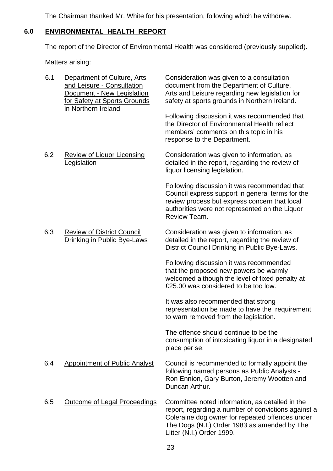The Chairman thanked Mr. White for his presentation, following which he withdrew.

# **6.0 ENVIRONMENTAL HEALTH REPORT**

The report of the Director of Environmental Health was considered (previously supplied).

| 6.1 | Department of Culture, Arts<br>and Leisure - Consultation<br>Document - New Legislation<br>for Safety at Sports Grounds<br>in Northern Ireland | Consideration was given to a consultation<br>document from the Department of Culture,<br>Arts and Leisure regarding new legislation for<br>safety at sports grounds in Northern Ireland.<br>Following discussion it was recommended that<br>the Director of Environmental Health reflect<br>members' comments on this topic in his<br>response to the Department. |
|-----|------------------------------------------------------------------------------------------------------------------------------------------------|-------------------------------------------------------------------------------------------------------------------------------------------------------------------------------------------------------------------------------------------------------------------------------------------------------------------------------------------------------------------|
| 6.2 | <b>Review of Liquor Licensing</b><br><b>Legislation</b>                                                                                        | Consideration was given to information, as<br>detailed in the report, regarding the review of<br>liquor licensing legislation.                                                                                                                                                                                                                                    |
|     |                                                                                                                                                | Following discussion it was recommended that<br>Council express support in general terms for the<br>review process but express concern that local<br>authorities were not represented on the Liquor<br>Review Team.                                                                                                                                               |
| 6.3 | <b>Review of District Council</b><br><b>Drinking in Public Bye-Laws</b>                                                                        | Consideration was given to information, as<br>detailed in the report, regarding the review of<br>District Council Drinking in Public Bye-Laws.                                                                                                                                                                                                                    |
|     |                                                                                                                                                | Following discussion it was recommended<br>that the proposed new powers be warmly<br>welcomed although the level of fixed penalty at<br>£25.00 was considered to be too low.                                                                                                                                                                                      |
|     |                                                                                                                                                | It was also recommended that strong<br>representation be made to have the requirement<br>to warn removed from the legislation.                                                                                                                                                                                                                                    |
|     |                                                                                                                                                | The offence should continue to be the<br>consumption of intoxicating liquor in a designated<br>place per se.                                                                                                                                                                                                                                                      |
| 6.4 | <b>Appointment of Public Analyst</b>                                                                                                           | Council is recommended to formally appoint the<br>following named persons as Public Analysts -<br>Ron Ennion, Gary Burton, Jeremy Wootten and<br>Duncan Arthur.                                                                                                                                                                                                   |
| 6.5 | <b>Outcome of Legal Proceedings</b>                                                                                                            | Committee noted information, as detailed in the<br>report, regarding a number of convictions against a<br>Coleraine dog owner for repeated offences under<br>The Dogs (N.I.) Order 1983 as amended by The<br>Litter (N.I.) Order 1999.                                                                                                                            |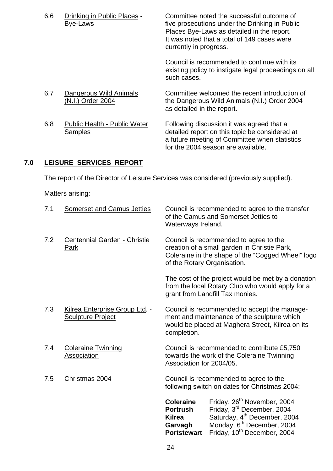| 6.6 | Drinking in Public Places -<br>Bye-Laws        | Committee noted the successful outcome of<br>five prosecutions under the Drinking in Public<br>Places Bye-Laws as detailed in the report.<br>It was noted that a total of 149 cases were<br>currently in progress. |
|-----|------------------------------------------------|--------------------------------------------------------------------------------------------------------------------------------------------------------------------------------------------------------------------|
|     |                                                | Council is recommended to continue with its<br>existing policy to instigate legal proceedings on all<br>such cases.                                                                                                |
| 6.7 | Dangerous Wild Animals<br>(N.I.) Order 2004    | Committee welcomed the recent introduction of<br>the Dangerous Wild Animals (N.I.) Order 2004<br>as detailed in the report.                                                                                        |
| 6.8 | <b>Public Health - Public Water</b><br>Samples | Following discussion it was agreed that a<br>detailed report on this topic be considered at<br>a future meeting of Committee when statistics<br>for the 2004 season are available.                                 |

#### $7.0$ **LEISURE SERVICES REPORT**

The report of the Director of Leisure Services was considered (previously supplied).

|     |                                                            | <b>Coleraine</b><br><b>Portrush</b><br><b>Kilrea</b><br>Garvagh<br><b>Portstewart</b>                                                                                      | Friday, 26 <sup>th</sup> November, 2004<br>Friday, 3 <sup>rd</sup> December, 2004<br>Saturday, 4 <sup>th</sup> December, 2004<br>Monday, 6 <sup>th</sup> December, 2004<br>Friday, 10 <sup>th</sup> December, 2004 |  |
|-----|------------------------------------------------------------|----------------------------------------------------------------------------------------------------------------------------------------------------------------------------|--------------------------------------------------------------------------------------------------------------------------------------------------------------------------------------------------------------------|--|
| 7.5 | Christmas 2004                                             | Council is recommended to agree to the<br>following switch on dates for Christmas 2004:                                                                                    |                                                                                                                                                                                                                    |  |
| 7.4 | <b>Coleraine Twinning</b><br>Association                   | Council is recommended to contribute £5,750<br>towards the work of the Coleraine Twinning<br>Association for 2004/05.                                                      |                                                                                                                                                                                                                    |  |
| 7.3 | Kilrea Enterprise Group Ltd. -<br><b>Sculpture Project</b> | completion.                                                                                                                                                                | Council is recommended to accept the manage-<br>ment and maintenance of the sculpture which<br>would be placed at Maghera Street, Kilrea on its                                                                    |  |
|     |                                                            |                                                                                                                                                                            | The cost of the project would be met by a donation<br>from the local Rotary Club who would apply for a<br>grant from Landfill Tax monies.                                                                          |  |
| 7.2 | Centennial Garden - Christie<br><b>Park</b>                | Council is recommended to agree to the<br>creation of a small garden in Christie Park,<br>Coleraine in the shape of the "Cogged Wheel" logo<br>of the Rotary Organisation. |                                                                                                                                                                                                                    |  |
| 7.1 | <b>Somerset and Camus Jetties</b>                          | Council is recommended to agree to the transfer<br>of the Camus and Somerset Jetties to<br>Waterways Ireland.                                                              |                                                                                                                                                                                                                    |  |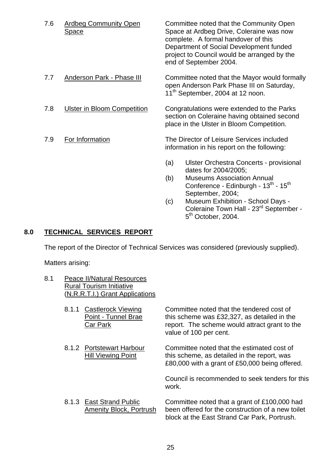| 7.6 | <b>Ardbeg Community Open</b><br><b>Space</b> | Committee noted that the Community Open<br>Space at Ardbeg Drive, Coleraine was now<br>complete. A formal handover of this<br>Department of Social Development funded<br>project to Council would be arranged by the<br>end of September 2004. |  |
|-----|----------------------------------------------|------------------------------------------------------------------------------------------------------------------------------------------------------------------------------------------------------------------------------------------------|--|
| 7.7 | <b>Anderson Park - Phase III</b>             | Committee noted that the Mayor would formally<br>open Anderson Park Phase III on Saturday,<br>11 <sup>th</sup> September, 2004 at 12 noon.                                                                                                     |  |
| 7.8 | <b>Ulster in Bloom Competition</b>           | Congratulations were extended to the Parks<br>section on Coleraine having obtained second<br>place in the Ulster in Bloom Competition.                                                                                                         |  |
| 7.9 | For Information                              | The Director of Leisure Services included<br>information in his report on the following:                                                                                                                                                       |  |
|     |                                              | Ulster Orchestra Concerts - provisional<br>(a)<br>dates for 2004/2005;                                                                                                                                                                         |  |
|     |                                              | <b>Museums Association Annual</b><br>(b)<br>Conference - Edinburgh - 13th - 15th<br>September, 2004;                                                                                                                                           |  |
|     |                                              | Museum Exhibition - School Days -<br>(c)<br>Coleraine Town Hall - 23 <sup>rd</sup> September -<br>$5th$ October, 2004.                                                                                                                         |  |

# **8.0 TECHNICAL SERVICES REPORT**

The report of the Director of Technical Services was considered (previously supplied).

| 8.1 | <b>Peace II/Natural Resources</b> |  |  |
|-----|-----------------------------------|--|--|
|     | <b>Rural Tourism Initiative</b>   |  |  |
|     | (N.R.R.T.I.) Grant Applications   |  |  |

| 8.1.1 | <b>Castlerock Viewing</b><br>Point - Tunnel Brae<br>Car Park | Committee noted that the tendered cost of<br>this scheme was £32,327, as detailed in the<br>report. The scheme would attract grant to the<br>value of 100 per cent. |
|-------|--------------------------------------------------------------|---------------------------------------------------------------------------------------------------------------------------------------------------------------------|
|       | 8.1.2 Portstewart Harbour<br><b>Hill Viewing Point</b>       | Committee noted that the estimated cost of<br>this scheme, as detailed in the report, was<br>£80,000 with a grant of £50,000 being offered.                         |
|       |                                                              | Council is recommended to seek tenders for this<br>work.                                                                                                            |
|       | 8.1.3 East Strand Public<br><b>Amenity Block, Portrush</b>   | Committee noted that a grant of £100,000 had<br>been offered for the construction of a new toilet<br>block at the East Strand Car Park, Portrush.                   |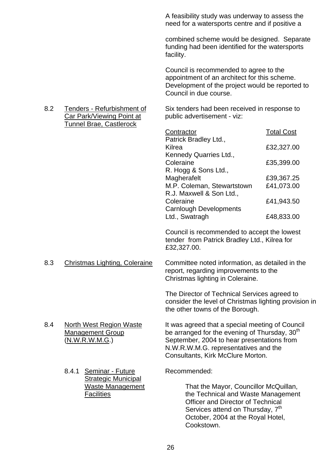A feasibility study was underway to assess the need for a watersports centre and if positive a

combined scheme would be designed. Separate funding had been identified for the watersports facility.

Council is recommended to agree to the appointment of an architect for this scheme. Development of the project would be reported to Council in due course.

 8.2 Tenders - Refurbishment of Six tenders had been received in response to Car Park/Viewing Point at public advertisement - viz:

| Contractor                    | <b>Total Cost</b> |
|-------------------------------|-------------------|
| Patrick Bradley Ltd.,         |                   |
| Kilrea                        | £32,327.00        |
| Kennedy Quarries Ltd.,        |                   |
| Coleraine                     | £35,399.00        |
| R. Hogg & Sons Ltd.,          |                   |
| Magherafelt                   | £39,367.25        |
| M.P. Coleman, Stewartstown    | £41,073.00        |
| R.J. Maxwell & Son Ltd.,      |                   |
| Coleraine                     | £41,943.50        |
| <b>Carnlough Developments</b> |                   |
| Ltd., Swatragh                | £48,833.00        |

Council is recommended to accept the lowest tender from Patrick Bradley Ltd., Kilrea for £32,327.00.

 8.3 Christmas Lighting, Coleraine Committee noted information, as detailed in the report, regarding improvements to the Christmas lighting in Coleraine.

> The Director of Technical Services agreed to consider the level of Christmas lighting provision in the other towns of the Borough.

- 8.4 North West Region Waste It was agreed that a special meeting of Council Management Group be arranged for the evening of Thursday, 30<sup>th</sup> (N.W.R.W.M.G.) September, 2004 to hear presentations from N.W.R.W.M.G. representatives and the Consultants, Kirk McClure Morton.
	- 8.4.1 Seminar Future Recommended: **Strategic Municipal**

Tunnel Brae, Castlerock

Waste Management That the Mayor, Councillor McQuillan, Facilities the Technical and Waste Management Officer and Director of Technical Services attend on Thursday, 7<sup>th</sup> October, 2004 at the Royal Hotel, Cookstown.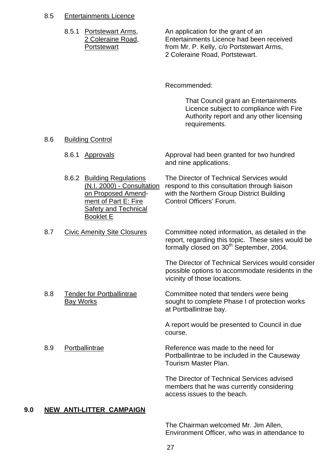#### 8.5 Entertainments Licence

| 8.5.1 Portstewart Arms, |
|-------------------------|
| 2 Coleraine Road,       |
| Portstewart             |

An application for the grant of an Entertainments Licence had been received from Mr. P. Kelly, c/o Portstewart Arms. 2 Coleraine Road, Portstewart.

Recommended:

 That Council grant an Entertainments Licence subject to compliance with Fire Authority report and any other licensing requirements.

#### 8.6 Building Control

8.6.1 Approvals **Approval had been granted for two hundred** and nine applications.

 8.6.2 Building Regulations The Director of Technical Services would (N.I. 2000) - Consultation respond to this consultation through liaison on Proposed Amend- with the Northern Group District Building ment of Part E: Fire Control Officers' Forum. Safety and Technical Booklet E

8.7 Civic Amenity Site Closures Committee noted information, as detailed in the report, regarding this topic. These sites would be formally closed on 30<sup>th</sup> September, 2004.

> The Director of Technical Services would consider possible options to accommodate residents in the vicinity of those locations.

8.8 Tender for Portballintrae Committee noted that tenders were being Bay Works **Bay Works** sought to complete Phase I of protection works at Portballintrae bay.

> A report would be presented to Council in due course.

8.9 Portballintrae Reference was made to the need for Portballintrae to be included in the Causeway Tourism Master Plan.

> The Director of Technical Services advised members that he was currently considering access issues to the beach.

#### **9.0 NEW ANTI-LITTER CAMPAIGN**

The Chairman welcomed Mr. Jim Allen, Environment Officer, who was in attendance to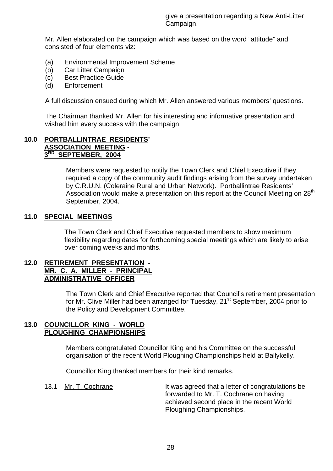Mr. Allen elaborated on the campaign which was based on the word "attitude" and consisted of four elements viz:

- (a) Environmental Improvement Scheme
- (b) Car Litter Campaign
- (c) Best Practice Guide
- (d) Enforcement

A full discussion ensued during which Mr. Allen answered various members' questions.

The Chairman thanked Mr. Allen for his interesting and informative presentation and wished him every success with the campaign.

#### **10.0 PORTBALLINTRAE RESIDENTS' ASSOCIATION MEETING - 3RD SEPTEMBER, 2004**

Members were requested to notify the Town Clerk and Chief Executive if they required a copy of the community audit findings arising from the survey undertaken by C.R.U.N. (Coleraine Rural and Urban Network). Portballintrae Residents' Association would make a presentation on this report at the Council Meeting on 28<sup>th</sup> September, 2004.

#### **11.0 SPECIAL MEETINGS**

 The Town Clerk and Chief Executive requested members to show maximum flexibility regarding dates for forthcoming special meetings which are likely to arise over coming weeks and months.

#### **12.0 RETIREMENT PRESENTATION - MR. C. A. MILLER - PRINCIPAL ADMINISTRATIVE OFFICER**

The Town Clerk and Chief Executive reported that Council's retirement presentation for Mr. Clive Miller had been arranged for Tuesday, 21<sup>st</sup> September, 2004 prior to the Policy and Development Committee.

#### **13.0 COUNCILLOR KING - WORLD PLOUGHING CHAMPIONSHIPS**

Members congratulated Councillor King and his Committee on the successful organisation of the recent World Ploughing Championships held at Ballykelly.

Councillor King thanked members for their kind remarks.

13.1 Mr. T. Cochrane It was agreed that a letter of congratulations be forwarded to Mr. T. Cochrane on having achieved second place in the recent World Ploughing Championships.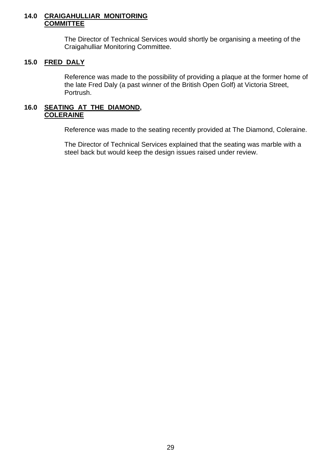#### **14.0 CRAIGAHULLIAR MONITORING COMMITTEE**

 The Director of Technical Services would shortly be organising a meeting of the Craigahulliar Monitoring Committee.

#### **15.0 FRED DALY**

 Reference was made to the possibility of providing a plaque at the former home of the late Fred Daly (a past winner of the British Open Golf) at Victoria Street, Portrush.

#### **16.0 SEATING AT THE DIAMOND, COLERAINE**

Reference was made to the seating recently provided at The Diamond, Coleraine.

 The Director of Technical Services explained that the seating was marble with a steel back but would keep the design issues raised under review.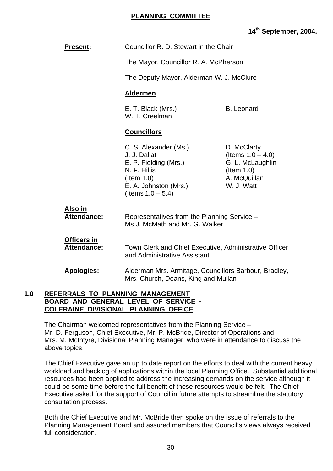#### **PLANNING COMMITTEE**

# **14th September, 2004.**

| Councillor R. D. Stewart in the Chair                                                                                                            |                                                                                                        |  |
|--------------------------------------------------------------------------------------------------------------------------------------------------|--------------------------------------------------------------------------------------------------------|--|
| The Mayor, Councillor R. A. McPherson                                                                                                            |                                                                                                        |  |
| The Deputy Mayor, Alderman W. J. McClure                                                                                                         |                                                                                                        |  |
| <b>Aldermen</b>                                                                                                                                  |                                                                                                        |  |
| E. T. Black (Mrs.)<br>W. T. Creelman                                                                                                             | <b>B.</b> Leonard                                                                                      |  |
| <b>Councillors</b>                                                                                                                               |                                                                                                        |  |
| C. S. Alexander (Ms.)<br>J. J. Dallat<br>E. P. Fielding (Mrs.)<br>N. F. Hillis<br>$($ ltem 1.0)<br>E. A. Johnston (Mrs.)<br>(Items $1.0 - 5.4$ ) | D. McClarty<br>(Items $1.0 - 4.0$ )<br>G. L. McLaughlin<br>$($ ltem 1.0)<br>A. McQuillan<br>W. J. Watt |  |
| Representatives from the Planning Service -<br>Ms J. McMath and Mr. G. Walker                                                                    |                                                                                                        |  |
| Town Clerk and Chief Executive, Administrative Officer<br>and Administrative Assistant                                                           |                                                                                                        |  |
| Alderman Mrs. Armitage, Councillors Barbour, Bradley,<br>Mrs. Church, Deans, King and Mullan                                                     |                                                                                                        |  |
|                                                                                                                                                  |                                                                                                        |  |

#### **1.0 REFERRALS TO PLANNING MANAGEMENT BOARD AND GENERAL LEVEL OF SERVICE - COLERAINE DIVISIONAL PLANNING OFFICE**

 The Chairman welcomed representatives from the Planning Service – Mr. D. Ferguson, Chief Executive, Mr. P. McBride, Director of Operations and Mrs. M. McIntyre, Divisional Planning Manager, who were in attendance to discuss the above topics.

 The Chief Executive gave an up to date report on the efforts to deal with the current heavy workload and backlog of applications within the local Planning Office. Substantial additional resources had been applied to address the increasing demands on the service although it could be some time before the full benefit of these resources would be felt. The Chief Executive asked for the support of Council in future attempts to streamline the statutory consultation process.

Both the Chief Executive and Mr. McBride then spoke on the issue of referrals to the Planning Management Board and assured members that Council's views always received full consideration.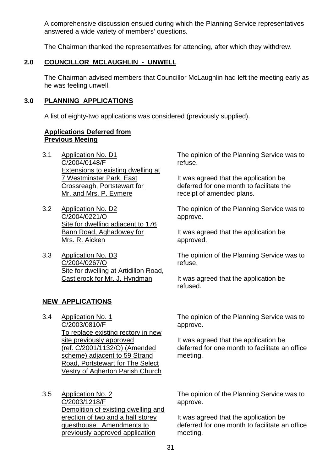A comprehensive discussion ensued during which the Planning Service representatives answered a wide variety of members' questions.

The Chairman thanked the representatives for attending, after which they withdrew.

# **2.0 COUNCILLOR MCLAUGHLIN - UNWELL**

 The Chairman advised members that Councillor McLaughlin had left the meeting early as he was feeling unwell.

### **3.0 PLANNING APPLICATIONS**

A list of eighty-two applications was considered (previously supplied).

#### **Applications Deferred from Previous Meeing**

- 3.1 Application No. D1 C/2004/0148/F Extensions to existing dwelling at 7 Westminster Park, East Crossreagh, Portstewart for Mr. and Mrs. P. Eymere
- 3.2 Application No. D2 C/2004/0221/O Site for dwelling adjacent to 176 Bann Road, Aghadowey for Mrs. R. Aicken
- 3.3 Application No. D3 C/2004/0267/O Site for dwelling at Artidillon Road, Castlerock for Mr. J. Hyndman

# **NEW APPLICATIONS**

3.4 Application No. 1 C/2003/0810/F To replace existing rectory in new site previously approved (ref. C/2001/1132/O) (Amended scheme) adjacent to 59 Strand Road, Portstewart for The Select Vestry of Agherton Parish Church

3.5 Application No. 2 C/2003/1218/F Demolition of existing dwelling and erection of two and a half storey guesthouse. Amendments to previously approved application

The opinion of the Planning Service was to refuse.

It was agreed that the application be deferred for one month to facilitate the receipt of amended plans.

The opinion of the Planning Service was to approve.

It was agreed that the application be approved.

The opinion of the Planning Service was to refuse.

It was agreed that the application be refused.

The opinion of the Planning Service was to approve.

It was agreed that the application be deferred for one month to facilitate an office meeting.

The opinion of the Planning Service was to approve.

It was agreed that the application be deferred for one month to facilitate an office meeting.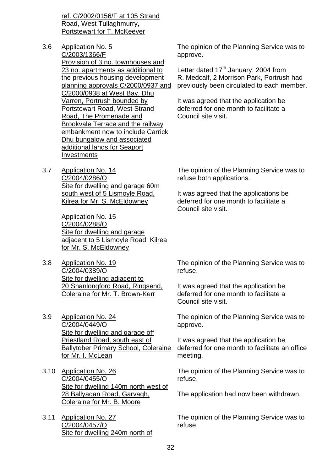ref. C/2002/0156/F at 105 Strand Road, West Tullaghmurry, Portstewart for T. McKeever

- 3.6 Application No. 5 C/2003/1366/F Provision of 3 no. townhouses and 23 no. apartments as additional to the previous housing development planning approvals C/2000/0937 and C/2000/0938 at West Bay, Dhu Varren, Portrush bounded by Portstewart Road, West Strand Road, The Promenade and Brookvale Terrace and the railway embankment now to include Carrick Dhu bungalow and associated additional lands for Seaport Investments
- 3.7 Application No. 14 C/2004/0286/O Site for dwelling and garage 60m south west of 5 Lismoyle Road, Kilrea for Mr. S. McEldowney

Application No. 15 C/2004/0288/O Site for dwelling and garage adjacent to 5 Lismoyle Road, Kilrea for Mr. S. McEldowney

- 3.8 Application No. 19 C/2004/0389/O Site for dwelling adjacent to 20 Shanlongford Road, Ringsend, Coleraine for Mr. T. Brown-Kerr
- 3.9 Application No. 24 C/2004/0449/O Site for dwelling and garage off Priestland Road, south east of Ballytober Primary School, Coleraine for Mr. I. McLean
- 3.10 Application No. 26 C/2004/0455/O Site for dwelling 140m north west of 28 Ballyagan Road, Garvagh, Coleraine for Mr. B. Moore
- 3.11 Application No. 27 C/2004/0457/O Site for dwelling 240m north of

The opinion of the Planning Service was to approve.

Letter dated  $17<sup>th</sup>$  January, 2004 from R. Medcalf, 2 Morrison Park, Portrush had previously been circulated to each member.

It was agreed that the application be deferred for one month to facilitate a Council site visit.

The opinion of the Planning Service was to refuse both applications.

It was agreed that the applications be deferred for one month to facilitate a Council site visit.

The opinion of the Planning Service was to refuse.

It was agreed that the application be deferred for one month to facilitate a Council site visit.

The opinion of the Planning Service was to approve.

It was agreed that the application be deferred for one month to facilitate an office meeting.

The opinion of the Planning Service was to refuse.

The application had now been withdrawn.

The opinion of the Planning Service was to refuse.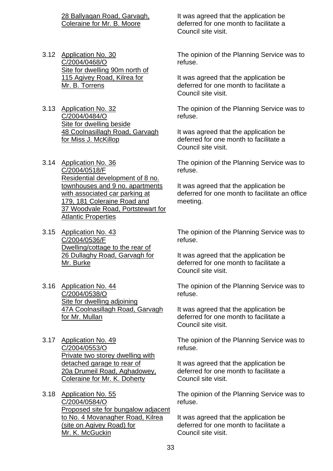28 Ballyagan Road, Garvagh, Coleraine for Mr. B. Moore

- 3.12 Application No. 30 C/2004/0468/O Site for dwelling 90m north of 115 Agivey Road, Kilrea for Mr. B. Torrens
- 3.13 Application No. 32 C/2004/0484/O Site for dwelling beside 48 Coolnasillagh Road, Garvagh for Miss J. McKillop
- 3.14 Application No. 36 C/2004/0518/F Residential development of 8 no. townhouses and 9 no. apartments with associated car parking at 179, 181 Coleraine Road and 37 Woodvale Road, Portstewart for Atlantic Properties
- 3.15 Application No. 43 C/2004/0536/F Dwelling/cottage to the rear of 26 Dullaghy Road, Garvagh for Mr. Burke
- 3.16 Application No. 44 C/2004/0538/O Site for dwelling adjoining 47A Coolnasillagh Road, Garvagh for Mr. Mullan
- 3.17 Application No. 49 C/2004/0553/O Private two storey dwelling with detached garage to rear of 20a Drumeil Road, Aghadowey, Coleraine for Mr. K. Doherty
- 3.18 Application No. 55 C/2004/0584/O Proposed site for bungalow adjacent to No. 4 Movanagher Road, Kilrea (site on Agivey Road) for Mr. K. McGuckin

It was agreed that the application be deferred for one month to facilitate a Council site visit.

The opinion of the Planning Service was to refuse.

It was agreed that the application be deferred for one month to facilitate a Council site visit.

The opinion of the Planning Service was to refuse.

It was agreed that the application be deferred for one month to facilitate a Council site visit.

The opinion of the Planning Service was to refuse.

It was agreed that the application be deferred for one month to facilitate an office meeting.

The opinion of the Planning Service was to refuse.

It was agreed that the application be deferred for one month to facilitate a Council site visit.

The opinion of the Planning Service was to refuse.

It was agreed that the application be deferred for one month to facilitate a Council site visit.

The opinion of the Planning Service was to refuse.

It was agreed that the application be deferred for one month to facilitate a Council site visit.

The opinion of the Planning Service was to refuse.

It was agreed that the application be deferred for one month to facilitate a Council site visit.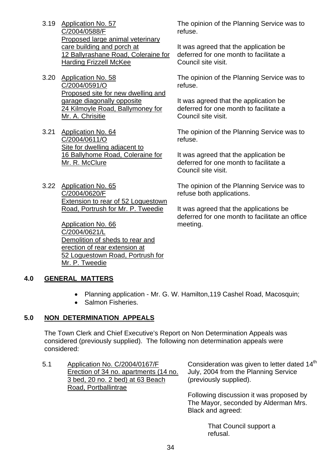- 3.19 Application No. 57 C/2004/0588/F Proposed large animal veterinary care building and porch at 12 Ballyrashane Road, Coleraine for **Harding Frizzell McKee**
- 3.20 Application No. 58 C/2004/0591/O Proposed site for new dwelling and garage diagonally opposite 24 Kilmoyle Road, Ballymoney for Mr. A. Chrisitie
- 3.21 Application No. 64 C/2004/0611/O Site for dwelling adjacent to 16 Ballyhome Road, Coleraine for Mr. R. McClure
- 3.22 Application No. 65 C/2004/0620/F Extension to rear of 52 Loguestown Road, Portrush for Mr. P. Tweedie

Application No. 66 C/2004/0621/L Demolition of sheds to rear and erection of rear extension at 52 Loguestown Road, Portrush for Mr. P. Tweedie

The opinion of the Planning Service was to refuse.

It was agreed that the application be deferred for one month to facilitate a Council site visit.

The opinion of the Planning Service was to refuse.

It was agreed that the application be deferred for one month to facilitate a Council site visit.

The opinion of the Planning Service was to refuse.

It was agreed that the application be deferred for one month to facilitate a Council site visit.

The opinion of the Planning Service was to refuse both applications.

It was agreed that the applications be deferred for one month to facilitate an office meeting.

# **4.0 GENERAL MATTERS**

- Planning application Mr. G. W. Hamilton,119 Cashel Road, Macosquin;
- Salmon Fisheries.

# **5.0 NON DETERMINATION APPEALS**

 The Town Clerk and Chief Executive's Report on Non Determination Appeals was considered (previously supplied). The following non determination appeals were considered:

5.1 Application No. C/2004/0167/F Erection of 34 no. apartments (14 no. 3 bed, 20 no. 2 bed) at 63 Beach Road, Portballintrae

Consideration was given to letter dated 14<sup>th</sup> July, 2004 from the Planning Service (previously supplied).

Following discussion it was proposed by The Mayor, seconded by Alderman Mrs. Black and agreed:

> That Council support a refusal.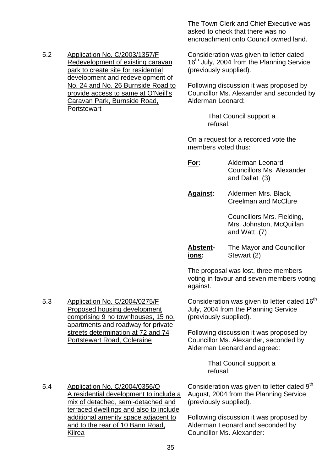5.2 Application No. C/2003/1357/F Redevelopment of existing caravan park to create site for residential development and redevelopment of No. 24 and No. 26 Burnside Road to provide access to same at O'Neill's Caravan Park, Burnside Road, **Portstewart** 

The Town Clerk and Chief Executive was asked to check that there was no encroachment onto Council owned land.

Consideration was given to letter dated 16<sup>th</sup> July, 2004 from the Planning Service (previously supplied).

Following discussion it was proposed by Councillor Ms. Alexander and seconded by Alderman Leonard:

> That Council support a refusal.

On a request for a recorded vote the members voted thus:

**For:** Alderman Leonard Councillors Ms. Alexander and Dallat (3)

**Against:** Aldermen Mrs. Black, Creelman and McClure

> Councillors Mrs. Fielding, Mrs. Johnston, McQuillan and Watt (7)

**Abstent-** The Mayor and Councillor **ions:** Stewart (2)

The proposal was lost, three members voting in favour and seven members voting against.

Consideration was given to letter dated  $16<sup>th</sup>$ July, 2004 from the Planning Service (previously supplied).

Following discussion it was proposed by Councillor Ms. Alexander, seconded by Alderman Leonard and agreed:

> That Council support a refusal.

5.4 Application No. C/2004/0356/O A residential development to include a mix of detached, semi-detached and terraced dwellings and also to include additional amenity space adjacent to and to the rear of 10 Bann Road, Kilrea

5.3 Application No. C/2004/0275/F

Proposed housing development comprising 9 no townhouses, 15 no. apartments and roadway for private streets determination at 72 and 74

Portstewart Road, Coleraine

Consideration was given to letter dated 9<sup>th</sup> August, 2004 from the Planning Service (previously supplied).

Following discussion it was proposed by Alderman Leonard and seconded by Councillor Ms. Alexander: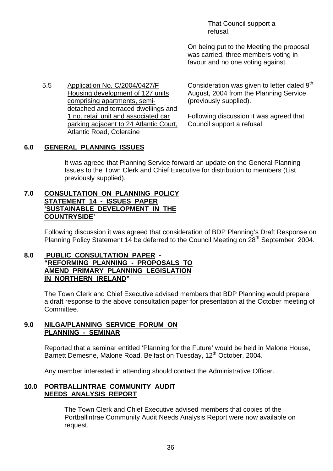That Council support a refusal.

On being put to the Meeting the proposal was carried, three members voting in favour and no one voting against.

5.5 Application No. C/2004/0427/F Housing development of 127 units comprising apartments, semidetached and terraced dwellings and 1 no. retail unit and associated car parking adjacent to 24 Atlantic Court, Atlantic Road, Coleraine

Consideration was given to letter dated 9<sup>th</sup> August, 2004 from the Planning Service (previously supplied).

Following discussion it was agreed that Council support a refusal.

### **6.0 GENERAL PLANNING ISSUES**

 It was agreed that Planning Service forward an update on the General Planning Issues to the Town Clerk and Chief Executive for distribution to members (List previously supplied).

#### **7.0 CONSULTATION ON PLANNING POLICY STATEMENT 14 - ISSUES PAPER 'SUSTAINABLE DEVELOPMENT IN THE COUNTRYSIDE'**

Following discussion it was agreed that consideration of BDP Planning's Draft Response on Planning Policy Statement 14 be deferred to the Council Meeting on 28<sup>th</sup> September, 2004.

### **8.0 PUBLIC CONSULTATION PAPER - "REFORMING PLANNING - PROPOSALS TO AMEND PRIMARY PLANNING LEGISLATION IN NORTHERN IRELAND"**

The Town Clerk and Chief Executive advised members that BDP Planning would prepare a draft response to the above consultation paper for presentation at the October meeting of Committee.

#### **9.0 NILGA/PLANNING SERVICE FORUM ON PLANNING - SEMINAR**

 Reported that a seminar entitled 'Planning for the Future' would be held in Malone House, Barnett Demesne, Malone Road, Belfast on Tuesday, 12<sup>th</sup> October, 2004.

Any member interested in attending should contact the Administrative Officer.

#### **10.0 PORTBALLINTRAE COMMUNITY AUDIT NEEDS ANALYSIS REPORT**

 The Town Clerk and Chief Executive advised members that copies of the Portballintrae Community Audit Needs Analysis Report were now available on request.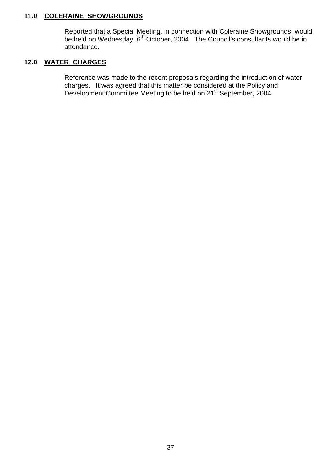#### **11.0 COLERAINE SHOWGROUNDS**

 Reported that a Special Meeting, in connection with Coleraine Showgrounds, would be held on Wednesday,  $6<sup>th</sup>$  October, 2004. The Council's consultants would be in attendance.

# **12.0 WATER CHARGES**

 Reference was made to the recent proposals regarding the introduction of water charges. It was agreed that this matter be considered at the Policy and Development Committee Meeting to be held on 21<sup>st</sup> September, 2004.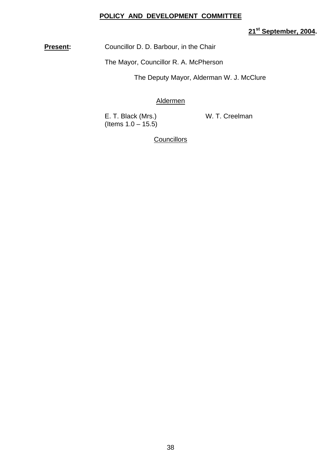#### **POLICY AND DEVELOPMENT COMMITTEE**

# **21st September, 2004.**

**Present:** Councillor D. D. Barbour, in the Chair

The Mayor, Councillor R. A. McPherson

The Deputy Mayor, Alderman W. J. McClure

#### Aldermen

E. T. Black (Mrs.) W. T. Creelman (Items  $1.0 - 15.5$ )

**Councillors**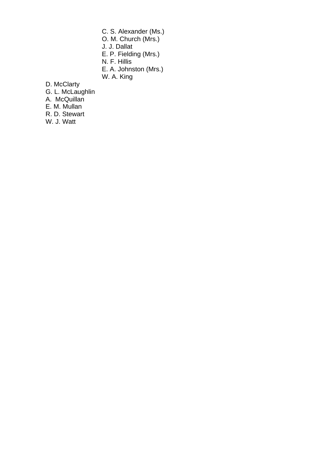- C. S. Alexander (Ms.) O. M. Church (Mrs.)
- J. J. Dallat
- E. P. Fielding (Mrs.)
- N. F. Hillis
	- E. A. Johnston (Mrs.)
	- W. A. King
	- D. McClarty
	- G. L. McLaughlin
	- A. McQuillan
	- E. M. Mullan
	- R. D. Stewart
	- W. J. Watt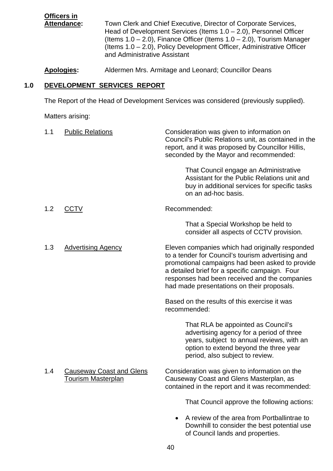**Officers in** Attendance: Town Clerk and Chief Executive, Director of Corporate Services, Head of Development Services (Items 1.0 – 2.0), Personnel Officer (Items  $1.0 - 2.0$ ), Finance Officer (Items  $1.0 - 2.0$ ), Tourism Manager (Items 1.0 – 2.0), Policy Development Officer, Administrative Officer and Administrative Assistant

**Apologies:** Aldermen Mrs. Armitage and Leonard; Councillor Deans

# **1.0 DEVELOPMENT SERVICES REPORT**

The Report of the Head of Development Services was considered (previously supplied).

| 1.1 | <b>Public Relations</b>                                      | Consideration was given to information on<br>Council's Public Relations unit, as contained in the<br>report, and it was proposed by Councillor Hillis,<br>seconded by the Mayor and recommended:                                                                                                         |
|-----|--------------------------------------------------------------|----------------------------------------------------------------------------------------------------------------------------------------------------------------------------------------------------------------------------------------------------------------------------------------------------------|
|     |                                                              | That Council engage an Administrative<br>Assistant for the Public Relations unit and<br>buy in additional services for specific tasks<br>on an ad-hoc basis.                                                                                                                                             |
| 1.2 | <b>CCTV</b>                                                  | Recommended:                                                                                                                                                                                                                                                                                             |
|     |                                                              | That a Special Workshop be held to<br>consider all aspects of CCTV provision.                                                                                                                                                                                                                            |
| 1.3 | <b>Advertising Agency</b>                                    | Eleven companies which had originally responded<br>to a tender for Council's tourism advertising and<br>promotional campaigns had been asked to provide<br>a detailed brief for a specific campaign. Four<br>responses had been received and the companies<br>had made presentations on their proposals. |
|     |                                                              | Based on the results of this exercise it was<br>recommended:                                                                                                                                                                                                                                             |
|     |                                                              | That RLA be appointed as Council's<br>advertising agency for a period of three<br>years, subject to annual reviews, with an<br>option to extend beyond the three year<br>period, also subject to review.                                                                                                 |
| 1.4 | <b>Causeway Coast and Glens</b><br><b>Tourism Masterplan</b> | Consideration was given to information on the<br>Causeway Coast and Glens Masterplan, as<br>contained in the report and it was recommended:                                                                                                                                                              |
|     |                                                              | That Council approve the following actions:                                                                                                                                                                                                                                                              |
|     |                                                              | A review of the area from Portballintrae to<br>Downhill to consider the best potential use<br>of Council lands and properties.                                                                                                                                                                           |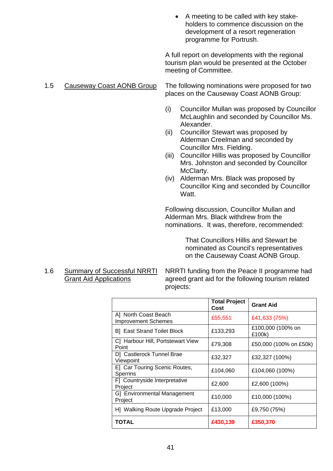• A meeting to be called with key stakeholders to commence discussion on the development of a resort regeneration programme for Portrush.

 A full report on developments with the regional tourism plan would be presented at the October meeting of Committee.

- 1.5 Causeway Coast AONB Group The following nominations were proposed for two places on the Causeway Coast AONB Group:
	- (i) Councillor Mullan was proposed by Councillor McLaughlin and seconded by Councillor Ms. Alexander.
	- (ii) Councillor Stewart was proposed by Alderman Creelman and seconded by Councillor Mrs. Fielding.
	- (iii) Councillor Hillis was proposed by Councillor Mrs. Johnston and seconded by Councillor McClarty.
	- (iv) Alderman Mrs. Black was proposed by Councillor King and seconded by Councillor Watt.

Following discussion, Councillor Mullan and Alderman Mrs. Black withdrew from the nominations. It was, therefore, recommended:

> That Councillors Hillis and Stewart be nominated as Council's representatives on the Causeway Coast AONB Group.

1.6 Summary of Successful NRRTI NRRTI funding from the Peace II programme had<br>Grant Aid Applications agreed grant aid for the following tourism related agreed grant aid for the following tourism related projects:

|                                                    | <b>Total Project</b><br>Cost | <b>Grant Aid</b>            |
|----------------------------------------------------|------------------------------|-----------------------------|
| A] North Coast Beach<br><b>Improvement Schemes</b> | £55,551                      | £41,633 (75%)               |
| <b>B</b> ] East Strand Toilet Block                | £133,293                     | £100,000 (100% on<br>£100k) |
| C] Harbour Hill, Portstewart View<br>Point         | £79,308                      | £50,000 (100% on £50k)      |
| D] Castlerock Tunnel Brae<br>Viewpoint             | £32,327                      | £32,327 (100%)              |
| E] Car Touring Scenic Routes,<br>Sperrins          | £104,060                     | £104,060 (100%)             |
| F] Countryside Interpretative<br>Project           | £2,600                       | £2,600 (100%)               |
| G] Environmental Management<br>Project             | £10,000                      | £10,000 (100%)              |
| H] Walking Route Upgrade Project                   | £13,000                      | £9,750 (75%)                |
| TOTAL                                              | £430,139                     | £350,370                    |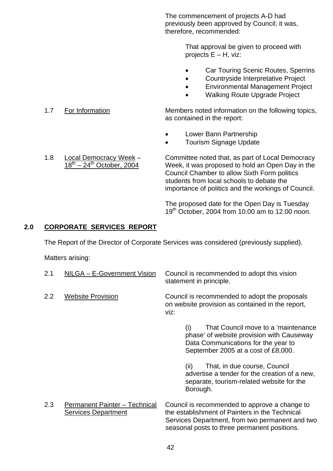The commencement of projects A-D had previously been approved by Council; it was, therefore, recommended:

> That approval be given to proceed with projects E – H, viz:

- Car Touring Scenic Routes, Sperrins
- Countryside Interpretative Project
- Environmental Management Project
- Walking Route Upgrade Project

1.7 For Information Members noted information on the following topics, as contained in the report:

- Lower Bann Partnership
- Tourism Signage Update
- 1.8 Local Democracy Week Committee noted that, as part of Local Democracy<br>18<sup>th</sup> 24<sup>th</sup> October, 2004 Week, it was proposed to hold an Open Day in the Week, it was proposed to hold an Open Day in the Council Chamber to allow Sixth Form politics students from local schools to debate the importance of politics and the workings of Council.

 The proposed date for the Open Day is Tuesday 19th October, 2004 from 10.00 am to 12.00 noon.

# **2.0 CORPORATE SERVICES REPORT**

The Report of the Director of Corporate Services was considered (previously supplied).

| 2.1 | NILGA - E-Government Vision                                        | Council is recommended to adopt this vision<br>statement in principle.                                                                                                                             |
|-----|--------------------------------------------------------------------|----------------------------------------------------------------------------------------------------------------------------------------------------------------------------------------------------|
| 2.2 | <b>Website Provision</b>                                           | Council is recommended to adopt the proposals<br>on website provision as contained in the report,<br>viz:                                                                                          |
|     |                                                                    | That Council move to a 'maintenance<br>(i)<br>phase' of website provision with Causeway<br>Data Communications for the year to<br>September 2005 at a cost of £8,000.                              |
|     |                                                                    | That, in due course, Council<br>(ii)<br>advertise a tender for the creation of a new,<br>separate, tourism-related website for the<br>Borough.                                                     |
| 2.3 | <b>Permanent Painter - Technical</b><br><b>Services Department</b> | Council is recommended to approve a change to<br>the establishment of Painters in the Technical<br>Services Department, from two permanent and two<br>seasonal posts to three permanent positions. |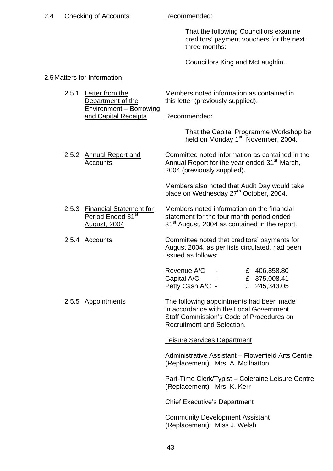#### 2.4 Checking of Accounts Recommended:

 That the following Councillors examine creditors' payment vouchers for the next three months:

Councillors King and McLaughlin.

#### 2.5 Matters for Information

2.5.1 Letter from the Members noted information as contained in Department of the this letter (previously supplied). Environment – Borrowing and Capital Receipts Recommended:

> That the Capital Programme Workshop be held on Monday 1<sup>st</sup> November, 2004.

2.5.2 Annual Report and Committee noted information as contained in the Accounts **Annual Report for the year ended 31<sup>st</sup> March**, 2004 (previously supplied).

> Members also noted that Audit Day would take place on Wednesday 27<sup>th</sup> October, 2004.

- 2.5.3 Financial Statement for Members noted information on the financial **Period Ended 31<sup>st</sup>** statement for the four month period ended August, 2004 31<sup>st</sup> August, 2004 as contained in the report.
- 2.5.4 Accounts Committee noted that creditors' payments for August 2004, as per lists circulated, had been issued as follows:

| Revenue A/C      |  | £ 406,858.80 |
|------------------|--|--------------|
| Capital A/C      |  | £ 375,008.41 |
| Petty Cash A/C - |  | £ 245,343.05 |

2.5.5 Appointments The following appointments had been made in accordance with the Local Government Staff Commission's Code of Procedures on Recruitment and Selection.

Leisure Services Department

 Administrative Assistant – Flowerfield Arts Centre (Replacement): Mrs. A. McIlhatton

Part-Time Clerk/Typist – Coleraine Leisure Centre (Replacement): Mrs. K. Kerr

Chief Executive's Department

Community Development Assistant (Replacement): Miss J. Welsh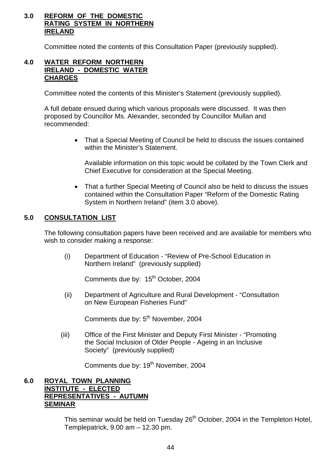# **3.0 REFORM OF THE DOMESTIC RATING SYSTEM IN NORTHERN IRELAND**

Committee noted the contents of this Consultation Paper (previously supplied).

## **4.0 WATER REFORM NORTHERN IRELAND - DOMESTIC WATER CHARGES**

Committee noted the contents of this Minister's Statement (previously supplied).

 A full debate ensued during which various proposals were discussed. It was then proposed by Councillor Ms. Alexander, seconded by Councillor Mullan and recommended:

> • That a Special Meeting of Council be held to discuss the issues contained within the Minister's Statement.

 Available information on this topic would be collated by the Town Clerk and Chief Executive for consideration at the Special Meeting.

• That a further Special Meeting of Council also be held to discuss the issues contained within the Consultation Paper "Reform of the Domestic Rating System in Northern Ireland" (item 3.0 above).

# **5.0 CONSULTATION LIST**

The following consultation papers have been received and are available for members who wish to consider making a response:

 (i) Department of Education - "Review of Pre-School Education in Northern Ireland" (previously supplied)

Comments due by: 15<sup>th</sup> October, 2004

 (ii) Department of Agriculture and Rural Development - "Consultation on New European Fisheries Fund"

Comments due by: 5<sup>th</sup> November, 2004

 (iii) Office of the First Minister and Deputy First Minister - "Promoting the Social Inclusion of Older People - Ageing in an Inclusive Society" (previously supplied)

Comments due by: 19<sup>th</sup> November, 2004

#### **6.0 ROYAL TOWN PLANNING INSTITUTE - ELECTED REPRESENTATIVES - AUTUMN SEMINAR**

This seminar would be held on Tuesday 26<sup>th</sup> October, 2004 in the Templeton Hotel, Templepatrick, 9.00 am – 12.30 pm.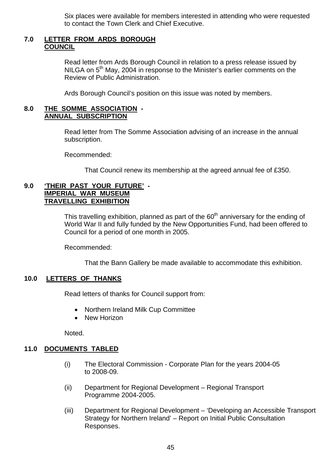Six places were available for members interested in attending who were requested to contact the Town Clerk and Chief Executive.

#### **7.0 LETTER FROM ARDS BOROUGH COUNCIL**

 Read letter from Ards Borough Council in relation to a press release issued by NILGA on 5<sup>th</sup> May, 2004 in response to the Minister's earlier comments on the Review of Public Administration.

Ards Borough Council's position on this issue was noted by members.

#### **8.0 THE SOMME ASSOCIATION - ANNUAL SUBSCRIPTION**

 Read letter from The Somme Association advising of an increase in the annual subscription.

Recommended:

That Council renew its membership at the agreed annual fee of £350.

#### **9.0 'THEIR PAST YOUR FUTURE' - IMPERIAL WAR MUSEUM TRAVELLING EXHIBITION**

This travelling exhibition, planned as part of the  $60<sup>th</sup>$  anniversary for the ending of World War II and fully funded by the New Opportunities Fund, had been offered to Council for a period of one month in 2005.

Recommended:

That the Bann Gallery be made available to accommodate this exhibition.

# **10.0 LETTERS OF THANKS**

Read letters of thanks for Council support from:

- Northern Ireland Milk Cup Committee
- New Horizon

Noted.

#### **11.0 DOCUMENTS TABLED**

- (i) The Electoral Commission Corporate Plan for the years 2004-05 to 2008-09.
- (ii) Department for Regional Development Regional Transport Programme 2004-2005.
- (iii) Department for Regional Development 'Developing an Accessible Transport Strategy for Northern Ireland' – Report on Initial Public Consultation Responses.